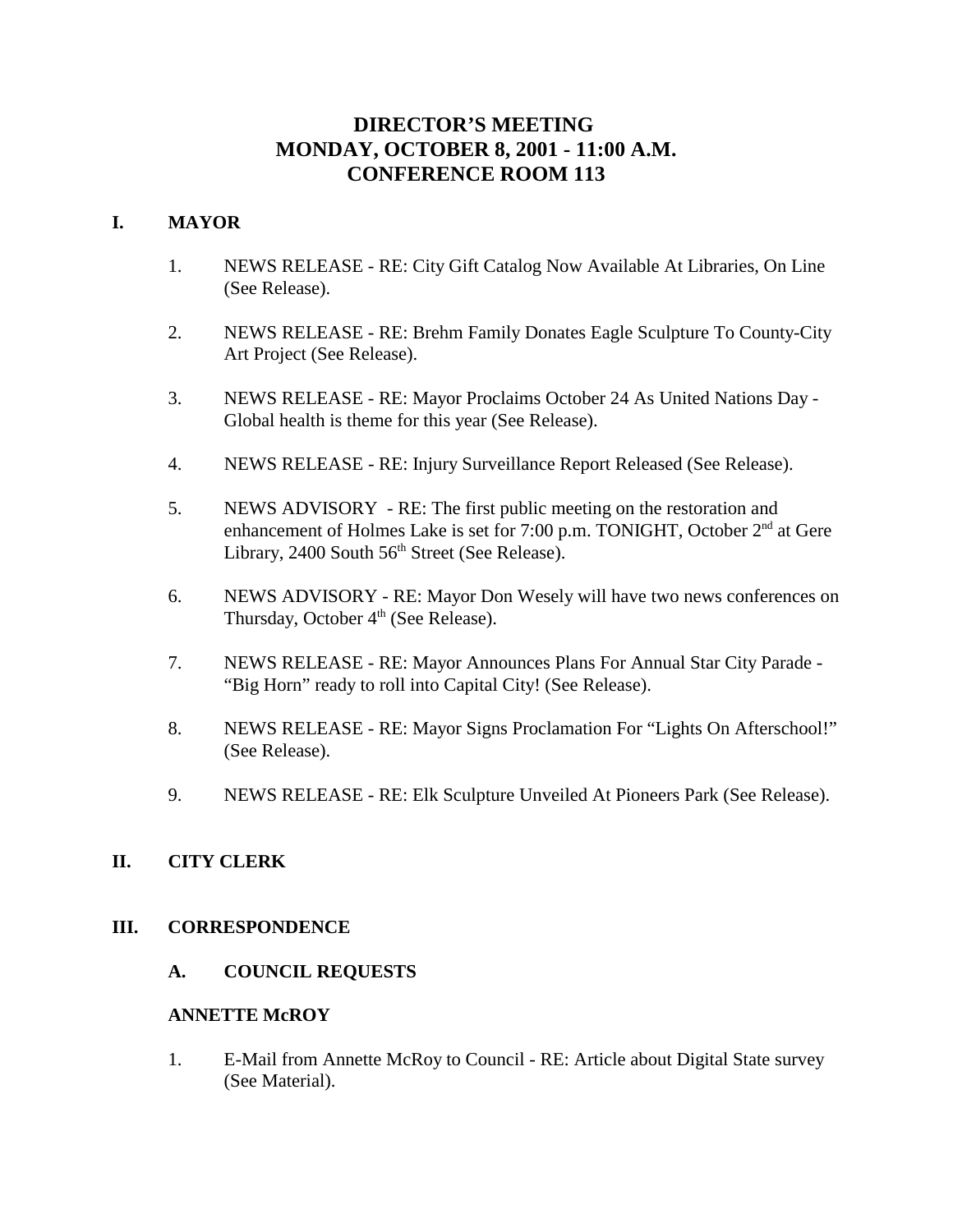# **DIRECTOR'S MEETING MONDAY, OCTOBER 8, 2001 - 11:00 A.M. CONFERENCE ROOM 113**

### **I. MAYOR**

- 1. NEWS RELEASE RE: City Gift Catalog Now Available At Libraries, On Line (See Release).
- 2. NEWS RELEASE RE: Brehm Family Donates Eagle Sculpture To County-City Art Project (See Release).
- 3. NEWS RELEASE RE: Mayor Proclaims October 24 As United Nations Day Global health is theme for this year (See Release).
- 4. NEWS RELEASE RE: Injury Surveillance Report Released (See Release).
- 5. NEWS ADVISORY RE: The first public meeting on the restoration and enhancement of Holmes Lake is set for 7:00 p.m. TONIGHT, October  $2<sup>nd</sup>$  at Gere Library, 2400 South  $56<sup>th</sup>$  Street (See Release).
- 6. NEWS ADVISORY RE: Mayor Don Wesely will have two news conferences on Thursday, October  $4<sup>th</sup>$  (See Release).
- 7. NEWS RELEASE RE: Mayor Announces Plans For Annual Star City Parade "Big Horn" ready to roll into Capital City! (See Release).
- 8. NEWS RELEASE RE: Mayor Signs Proclamation For "Lights On Afterschool!" (See Release).
- 9. NEWS RELEASE RE: Elk Sculpture Unveiled At Pioneers Park (See Release).

### **II. CITY CLERK**

### **III. CORRESPONDENCE**

**A. COUNCIL REQUESTS**

### **ANNETTE McROY**

1. E-Mail from Annette McRoy to Council - RE: Article about Digital State survey (See Material).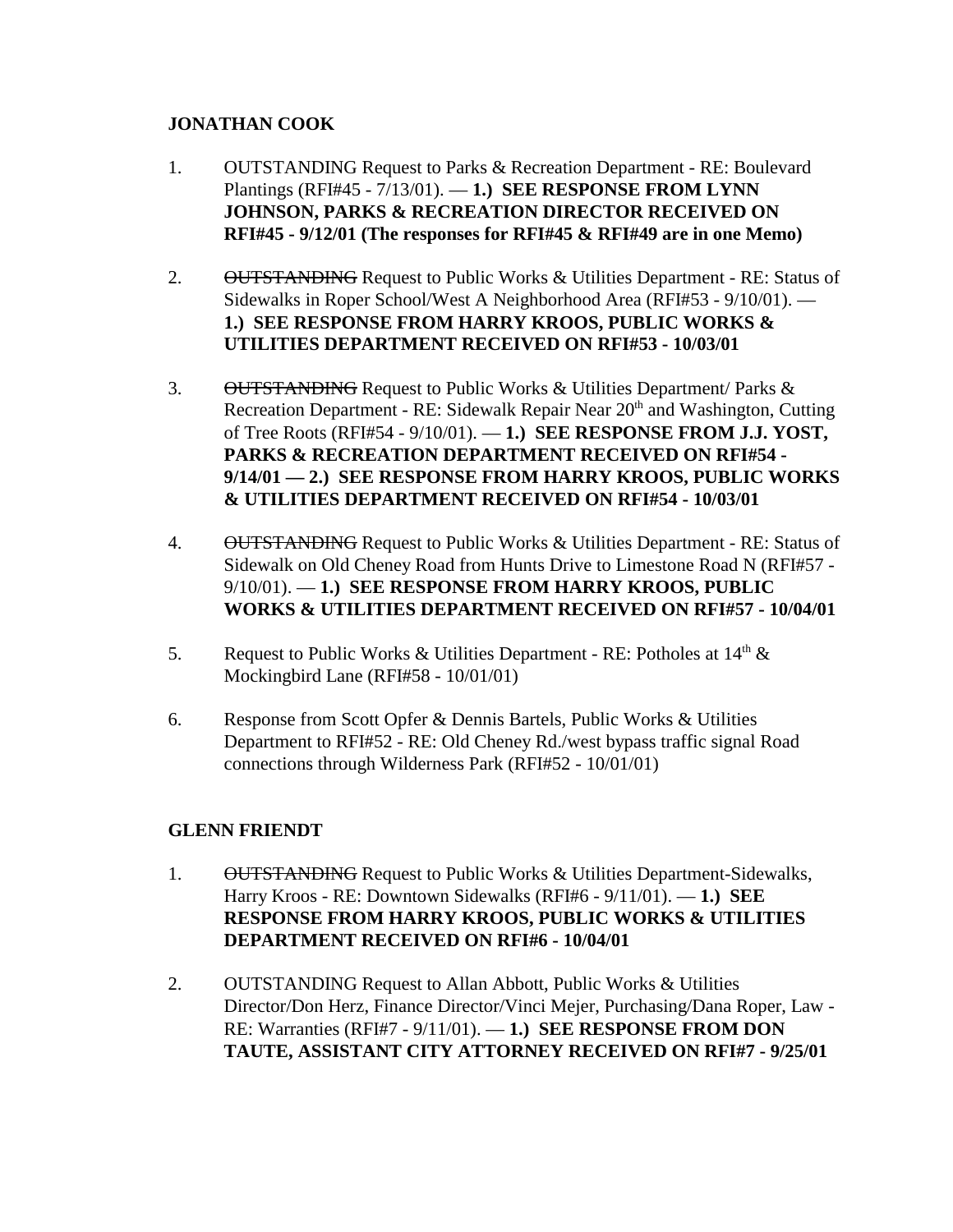# **JONATHAN COOK**

- 1. OUTSTANDING Request to Parks & Recreation Department RE: Boulevard Plantings (RFI#45 - 7/13/01). — **1.) SEE RESPONSE FROM LYNN JOHNSON, PARKS & RECREATION DIRECTOR RECEIVED ON RFI#45 - 9/12/01 (The responses for RFI#45 & RFI#49 are in one Memo)**
- 2. OUTSTANDING Request to Public Works & Utilities Department RE: Status of Sidewalks in Roper School/West A Neighborhood Area (RFI#53 - 9/10/01). — **1.) SEE RESPONSE FROM HARRY KROOS, PUBLIC WORKS & UTILITIES DEPARTMENT RECEIVED ON RFI#53 - 10/03/01**
- 3. OUTSTANDING Request to Public Works & Utilities Department/ Parks & Recreation Department - RE: Sidewalk Repair Near 20<sup>th</sup> and Washington, Cutting of Tree Roots (RFI#54 - 9/10/01). — **1.) SEE RESPONSE FROM J.J. YOST, PARKS & RECREATION DEPARTMENT RECEIVED ON RFI#54 - 9/14/01 — 2.) SEE RESPONSE FROM HARRY KROOS, PUBLIC WORKS & UTILITIES DEPARTMENT RECEIVED ON RFI#54 - 10/03/01**
- 4. OUTSTANDING Request to Public Works & Utilities Department RE: Status of Sidewalk on Old Cheney Road from Hunts Drive to Limestone Road N (RFI#57 - 9/10/01). — **1.) SEE RESPONSE FROM HARRY KROOS, PUBLIC WORKS & UTILITIES DEPARTMENT RECEIVED ON RFI#57 - 10/04/01**
- 5. Request to Public Works & Utilities Department RE: Potholes at  $14<sup>th</sup>$  & Mockingbird Lane (RFI#58 - 10/01/01)
- 6. Response from Scott Opfer & Dennis Bartels, Public Works & Utilities Department to RFI#52 - RE: Old Cheney Rd./west bypass traffic signal Road connections through Wilderness Park (RFI#52 - 10/01/01)

# **GLENN FRIENDT**

- 1. OUTSTANDING Request to Public Works & Utilities Department-Sidewalks, Harry Kroos - RE: Downtown Sidewalks (RFI#6 - 9/11/01). — **1.) SEE RESPONSE FROM HARRY KROOS, PUBLIC WORKS & UTILITIES DEPARTMENT RECEIVED ON RFI#6 - 10/04/01**
- 2. OUTSTANDING Request to Allan Abbott, Public Works & Utilities Director/Don Herz, Finance Director/Vinci Mejer, Purchasing/Dana Roper, Law - RE: Warranties (RFI#7 - 9/11/01). — **1.) SEE RESPONSE FROM DON TAUTE, ASSISTANT CITY ATTORNEY RECEIVED ON RFI#7 - 9/25/01**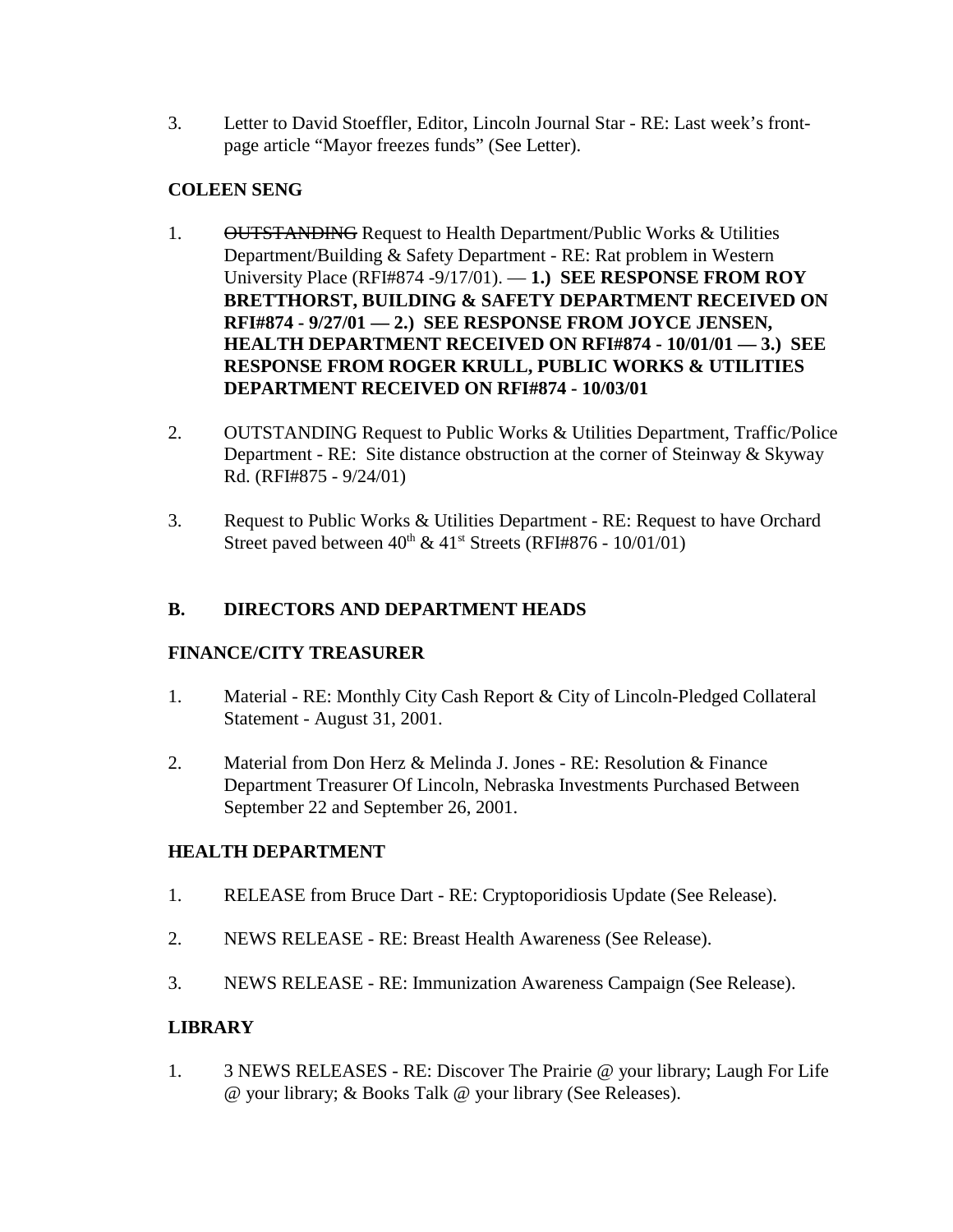3. Letter to David Stoeffler, Editor, Lincoln Journal Star - RE: Last week's frontpage article "Mayor freezes funds" (See Letter).

# **COLEEN SENG**

- 1. OUTSTANDING Request to Health Department/Public Works & Utilities Department/Building & Safety Department - RE: Rat problem in Western University Place (RFI#874 -9/17/01). — **1.) SEE RESPONSE FROM ROY BRETTHORST, BUILDING & SAFETY DEPARTMENT RECEIVED ON RFI#874 - 9/27/01 — 2.) SEE RESPONSE FROM JOYCE JENSEN, HEALTH DEPARTMENT RECEIVED ON RFI#874 - 10/01/01 — 3.) SEE RESPONSE FROM ROGER KRULL, PUBLIC WORKS & UTILITIES DEPARTMENT RECEIVED ON RFI#874 - 10/03/01**
- 2. OUTSTANDING Request to Public Works & Utilities Department, Traffic/Police Department - RE: Site distance obstruction at the corner of Steinway & Skyway Rd. (RFI#875 - 9/24/01)
- 3. Request to Public Works & Utilities Department RE: Request to have Orchard Street paved between  $40^{th}$  &  $41^{st}$  Streets (RFI#876 - 10/01/01)

# **B. DIRECTORS AND DEPARTMENT HEADS**

### **FINANCE/CITY TREASURER**

- 1. Material RE: Monthly City Cash Report & City of Lincoln-Pledged Collateral Statement - August 31, 2001.
- 2. Material from Don Herz & Melinda J. Jones RE: Resolution & Finance Department Treasurer Of Lincoln, Nebraska Investments Purchased Between September 22 and September 26, 2001.

### **HEALTH DEPARTMENT**

- 1. RELEASE from Bruce Dart RE: Cryptoporidiosis Update (See Release).
- 2. NEWS RELEASE RE: Breast Health Awareness (See Release).
- 3. NEWS RELEASE RE: Immunization Awareness Campaign (See Release).

# **LIBRARY**

1. 3 NEWS RELEASES - RE: Discover The Prairie @ your library; Laugh For Life @ your library; & Books Talk @ your library (See Releases).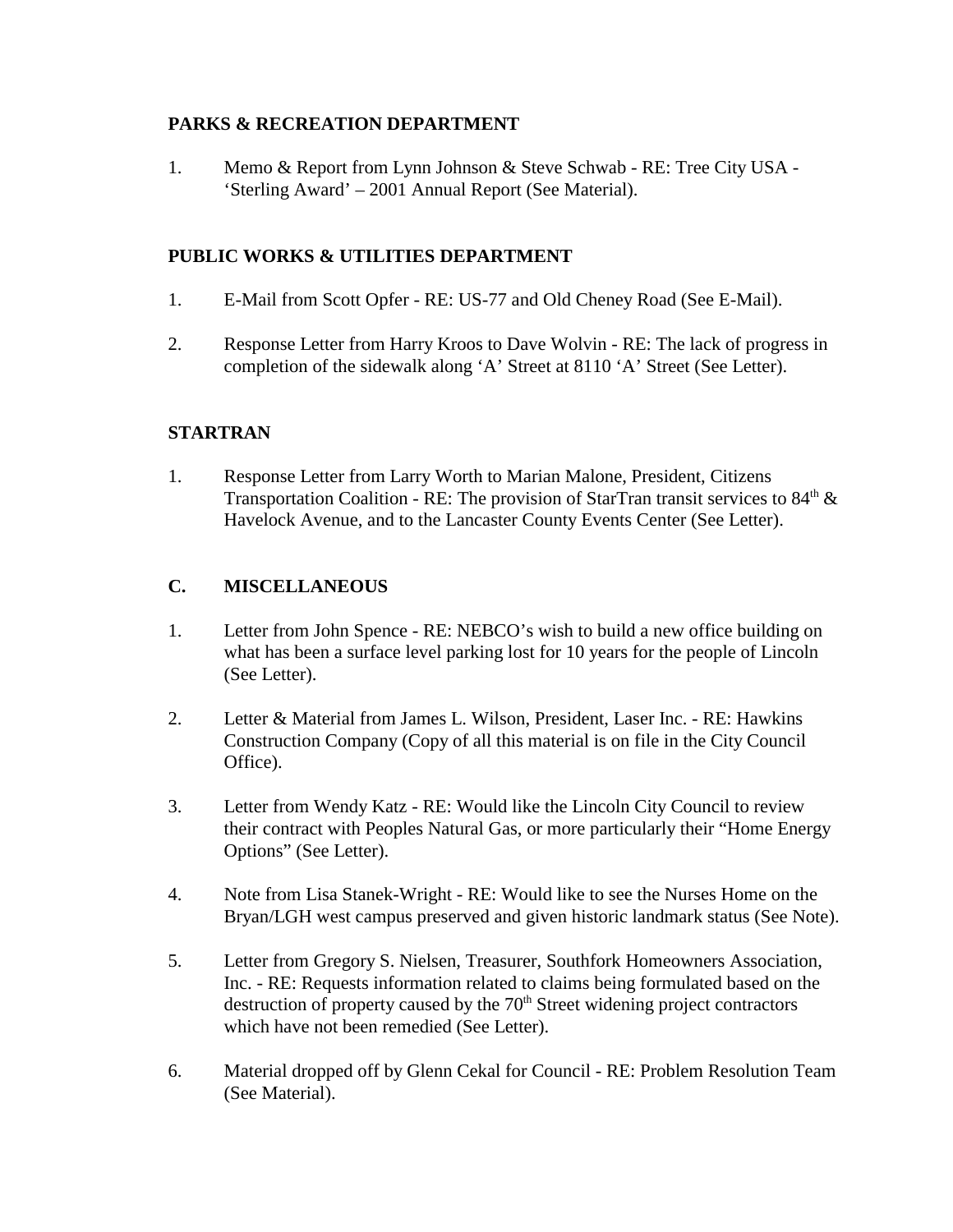# **PARKS & RECREATION DEPARTMENT**

1. Memo & Report from Lynn Johnson & Steve Schwab - RE: Tree City USA - 'Sterling Award' – 2001 Annual Report (See Material).

# **PUBLIC WORKS & UTILITIES DEPARTMENT**

- 1. E-Mail from Scott Opfer RE: US-77 and Old Cheney Road (See E-Mail).
- 2. Response Letter from Harry Kroos to Dave Wolvin RE: The lack of progress in completion of the sidewalk along 'A' Street at 8110 'A' Street (See Letter).

# **STARTRAN**

1. Response Letter from Larry Worth to Marian Malone, President, Citizens Transportation Coalition - RE: The provision of StarTran transit services to  $84<sup>th</sup>$  & Havelock Avenue, and to the Lancaster County Events Center (See Letter).

# **C. MISCELLANEOUS**

- 1. Letter from John Spence RE: NEBCO's wish to build a new office building on what has been a surface level parking lost for 10 years for the people of Lincoln (See Letter).
- 2. Letter & Material from James L. Wilson, President, Laser Inc. RE: Hawkins Construction Company (Copy of all this material is on file in the City Council Office).
- 3. Letter from Wendy Katz RE: Would like the Lincoln City Council to review their contract with Peoples Natural Gas, or more particularly their "Home Energy Options" (See Letter).
- 4. Note from Lisa Stanek-Wright RE: Would like to see the Nurses Home on the Bryan/LGH west campus preserved and given historic landmark status (See Note).
- 5. Letter from Gregory S. Nielsen, Treasurer, Southfork Homeowners Association, Inc. - RE: Requests information related to claims being formulated based on the destruction of property caused by the  $70<sup>th</sup>$  Street widening project contractors which have not been remedied (See Letter).
- 6. Material dropped off by Glenn Cekal for Council RE: Problem Resolution Team (See Material).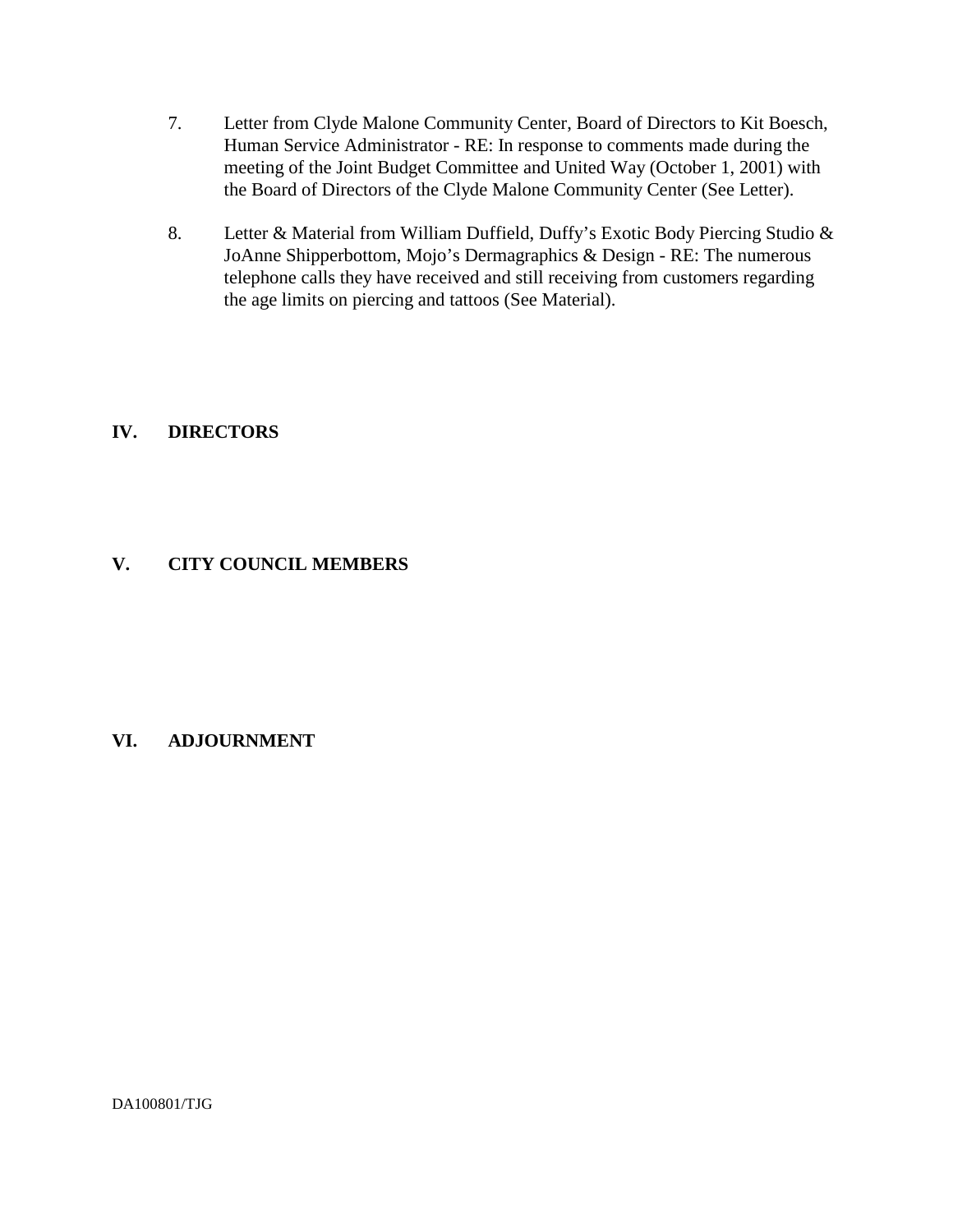- 7. Letter from Clyde Malone Community Center, Board of Directors to Kit Boesch, Human Service Administrator - RE: In response to comments made during the meeting of the Joint Budget Committee and United Way (October 1, 2001) with the Board of Directors of the Clyde Malone Community Center (See Letter).
- 8. Letter & Material from William Duffield, Duffy's Exotic Body Piercing Studio & JoAnne Shipperbottom, Mojo's Dermagraphics & Design - RE: The numerous telephone calls they have received and still receiving from customers regarding the age limits on piercing and tattoos (See Material).

# **IV. DIRECTORS**

# **V. CITY COUNCIL MEMBERS**

### **VI. ADJOURNMENT**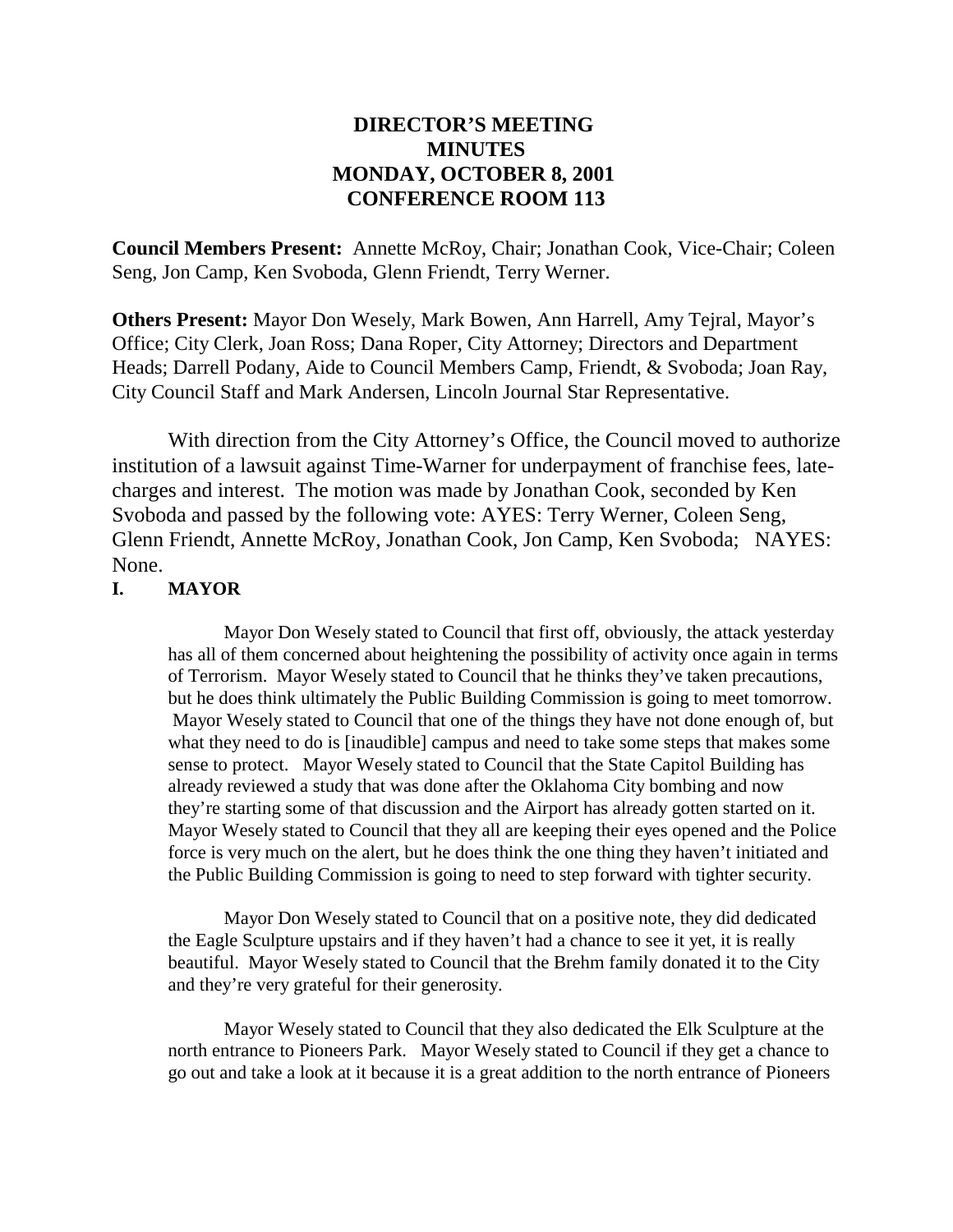# **DIRECTOR'S MEETING MINUTES MONDAY, OCTOBER 8, 2001 CONFERENCE ROOM 113**

**Council Members Present:** Annette McRoy, Chair; Jonathan Cook, Vice-Chair; Coleen Seng, Jon Camp, Ken Svoboda, Glenn Friendt, Terry Werner.

**Others Present:** Mayor Don Wesely, Mark Bowen, Ann Harrell, Amy Tejral, Mayor's Office; City Clerk, Joan Ross; Dana Roper, City Attorney; Directors and Department Heads; Darrell Podany, Aide to Council Members Camp, Friendt, & Svoboda; Joan Ray, City Council Staff and Mark Andersen, Lincoln Journal Star Representative.

With direction from the City Attorney's Office, the Council moved to authorize institution of a lawsuit against Time-Warner for underpayment of franchise fees, latecharges and interest. The motion was made by Jonathan Cook, seconded by Ken Svoboda and passed by the following vote: AYES: Terry Werner, Coleen Seng, Glenn Friendt, Annette McRoy, Jonathan Cook, Jon Camp, Ken Svoboda; NAYES: None.

### **I. MAYOR**

Mayor Don Wesely stated to Council that first off, obviously, the attack yesterday has all of them concerned about heightening the possibility of activity once again in terms of Terrorism. Mayor Wesely stated to Council that he thinks they've taken precautions, but he does think ultimately the Public Building Commission is going to meet tomorrow. Mayor Wesely stated to Council that one of the things they have not done enough of, but what they need to do is [inaudible] campus and need to take some steps that makes some sense to protect. Mayor Wesely stated to Council that the State Capitol Building has already reviewed a study that was done after the Oklahoma City bombing and now they're starting some of that discussion and the Airport has already gotten started on it. Mayor Wesely stated to Council that they all are keeping their eyes opened and the Police force is very much on the alert, but he does think the one thing they haven't initiated and the Public Building Commission is going to need to step forward with tighter security.

Mayor Don Wesely stated to Council that on a positive note, they did dedicated the Eagle Sculpture upstairs and if they haven't had a chance to see it yet, it is really beautiful. Mayor Wesely stated to Council that the Brehm family donated it to the City and they're very grateful for their generosity.

Mayor Wesely stated to Council that they also dedicated the Elk Sculpture at the north entrance to Pioneers Park. Mayor Wesely stated to Council if they get a chance to go out and take a look at it because it is a great addition to the north entrance of Pioneers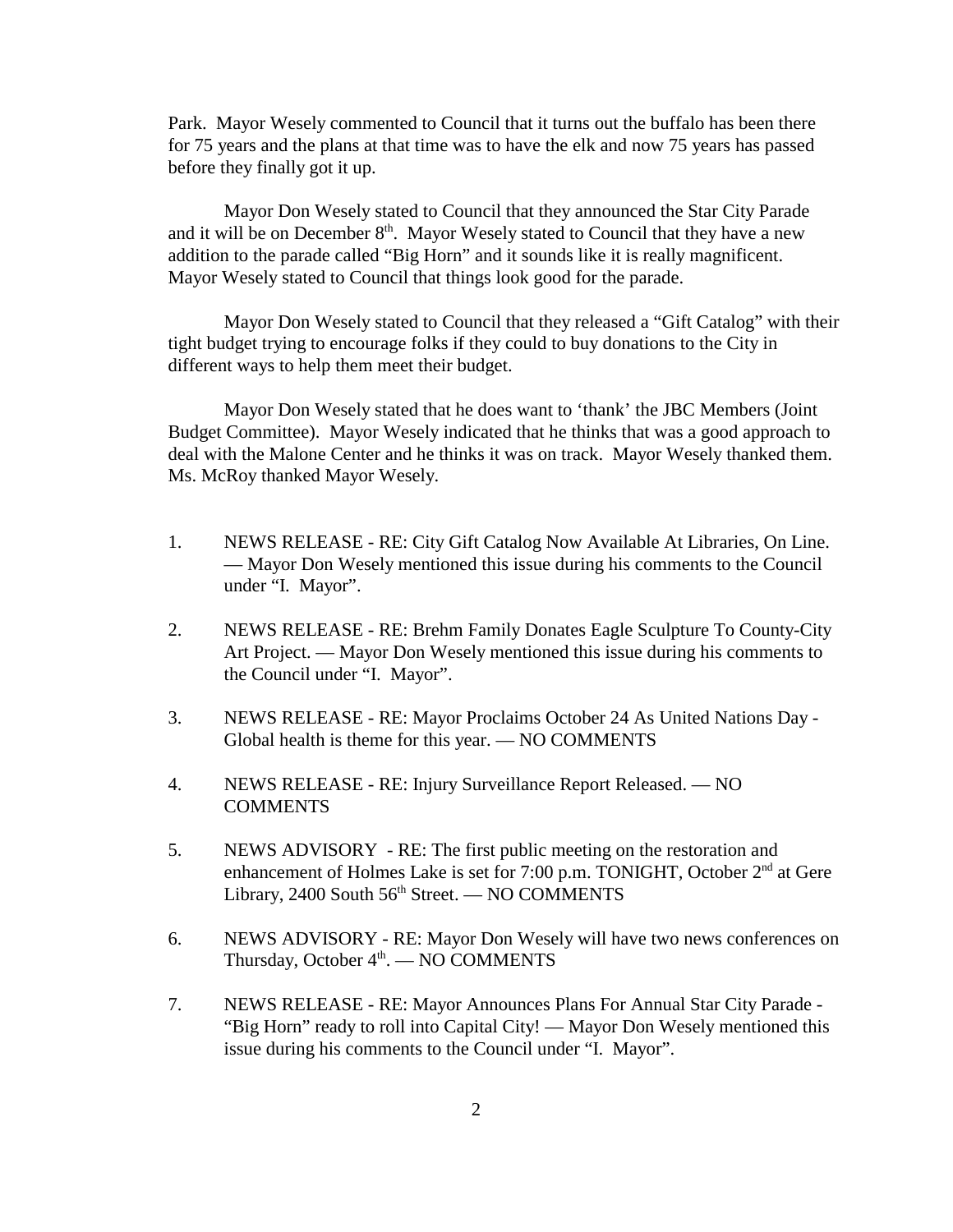Park. Mayor Wesely commented to Council that it turns out the buffalo has been there for 75 years and the plans at that time was to have the elk and now 75 years has passed before they finally got it up.

Mayor Don Wesely stated to Council that they announced the Star City Parade and it will be on December  $8<sup>th</sup>$ . Mayor Wesely stated to Council that they have a new addition to the parade called "Big Horn" and it sounds like it is really magnificent. Mayor Wesely stated to Council that things look good for the parade.

Mayor Don Wesely stated to Council that they released a "Gift Catalog" with their tight budget trying to encourage folks if they could to buy donations to the City in different ways to help them meet their budget.

Mayor Don Wesely stated that he does want to 'thank' the JBC Members (Joint Budget Committee). Mayor Wesely indicated that he thinks that was a good approach to deal with the Malone Center and he thinks it was on track. Mayor Wesely thanked them. Ms. McRoy thanked Mayor Wesely.

- 1. NEWS RELEASE RE: City Gift Catalog Now Available At Libraries, On Line. — Mayor Don Wesely mentioned this issue during his comments to the Council under "I. Mayor".
- 2. NEWS RELEASE RE: Brehm Family Donates Eagle Sculpture To County-City Art Project. — Mayor Don Wesely mentioned this issue during his comments to the Council under "I. Mayor".
- 3. NEWS RELEASE RE: Mayor Proclaims October 24 As United Nations Day Global health is theme for this year. — NO COMMENTS
- 4. NEWS RELEASE RE: Injury Surveillance Report Released. NO **COMMENTS**
- 5. NEWS ADVISORY RE: The first public meeting on the restoration and enhancement of Holmes Lake is set for 7:00 p.m. TONIGHT, October  $2<sup>nd</sup>$  at Gere Library, 2400 South  $56<sup>th</sup>$  Street. — NO COMMENTS
- 6. NEWS ADVISORY RE: Mayor Don Wesely will have two news conferences on Thursday, October  $4<sup>th</sup>$ . — NO COMMENTS
- 7. NEWS RELEASE RE: Mayor Announces Plans For Annual Star City Parade "Big Horn" ready to roll into Capital City! — Mayor Don Wesely mentioned this issue during his comments to the Council under "I. Mayor".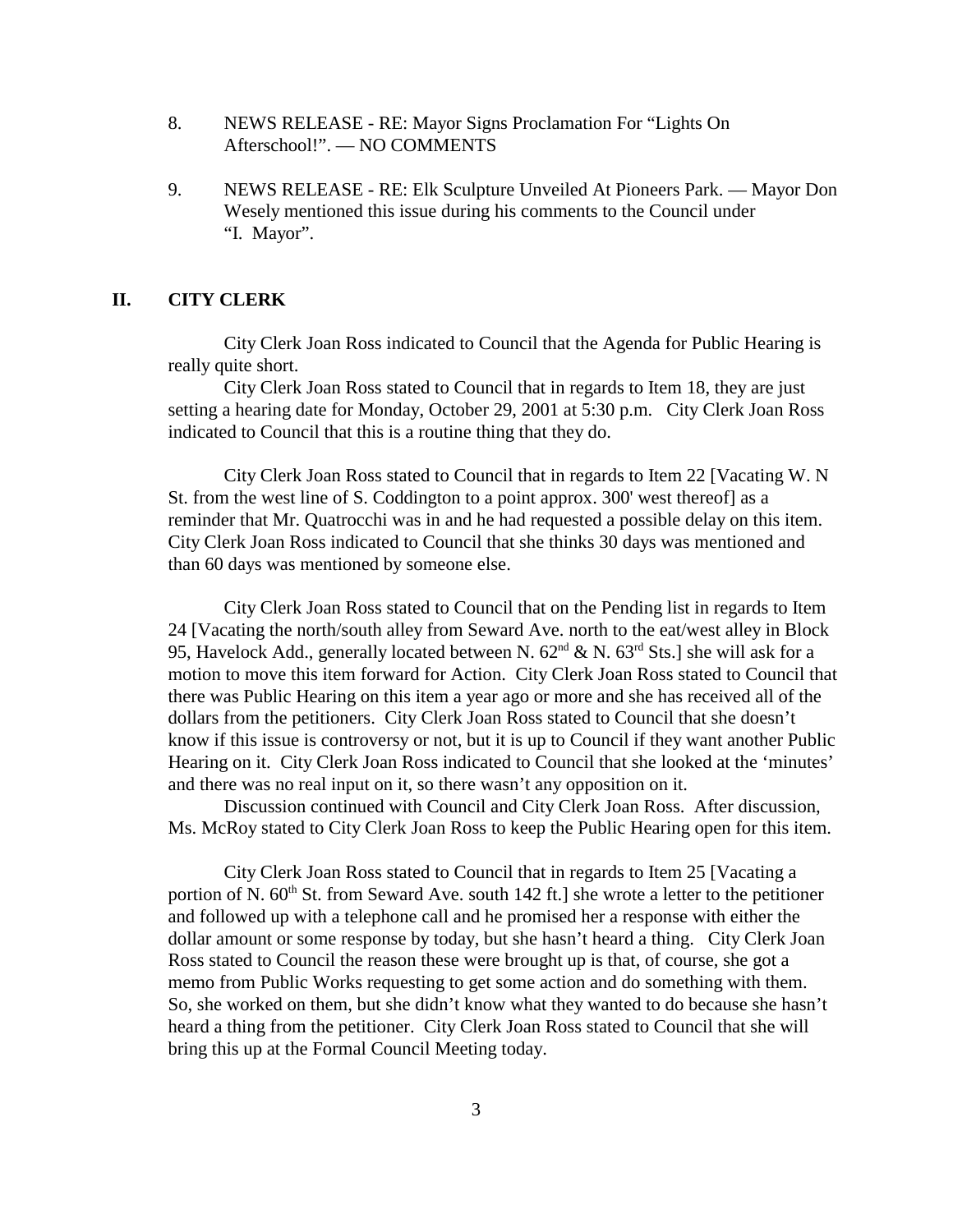- 8. NEWS RELEASE RE: Mayor Signs Proclamation For "Lights On Afterschool!". — NO COMMENTS
- 9. NEWS RELEASE RE: Elk Sculpture Unveiled At Pioneers Park. Mayor Don Wesely mentioned this issue during his comments to the Council under "I. Mayor".

### **II. CITY CLERK**

City Clerk Joan Ross indicated to Council that the Agenda for Public Hearing is really quite short.

City Clerk Joan Ross stated to Council that in regards to Item 18, they are just setting a hearing date for Monday, October 29, 2001 at 5:30 p.m. City Clerk Joan Ross indicated to Council that this is a routine thing that they do.

City Clerk Joan Ross stated to Council that in regards to Item 22 [Vacating W. N St. from the west line of S. Coddington to a point approx. 300' west thereof] as a reminder that Mr. Quatrocchi was in and he had requested a possible delay on this item. City Clerk Joan Ross indicated to Council that she thinks 30 days was mentioned and than 60 days was mentioned by someone else.

City Clerk Joan Ross stated to Council that on the Pending list in regards to Item 24 [Vacating the north/south alley from Seward Ave. north to the eat/west alley in Block 95, Havelock Add., generally located between N.  $62<sup>nd</sup>$  & N.  $63<sup>rd</sup>$  Sts.] she will ask for a motion to move this item forward for Action. City Clerk Joan Ross stated to Council that there was Public Hearing on this item a year ago or more and she has received all of the dollars from the petitioners. City Clerk Joan Ross stated to Council that she doesn't know if this issue is controversy or not, but it is up to Council if they want another Public Hearing on it. City Clerk Joan Ross indicated to Council that she looked at the 'minutes' and there was no real input on it, so there wasn't any opposition on it.

Discussion continued with Council and City Clerk Joan Ross. After discussion, Ms. McRoy stated to City Clerk Joan Ross to keep the Public Hearing open for this item.

City Clerk Joan Ross stated to Council that in regards to Item 25 [Vacating a portion of N.  $60<sup>th</sup>$  St. from Seward Ave. south 142 ft.] she wrote a letter to the petitioner and followed up with a telephone call and he promised her a response with either the dollar amount or some response by today, but she hasn't heard a thing. City Clerk Joan Ross stated to Council the reason these were brought up is that, of course, she got a memo from Public Works requesting to get some action and do something with them. So, she worked on them, but she didn't know what they wanted to do because she hasn't heard a thing from the petitioner. City Clerk Joan Ross stated to Council that she will bring this up at the Formal Council Meeting today.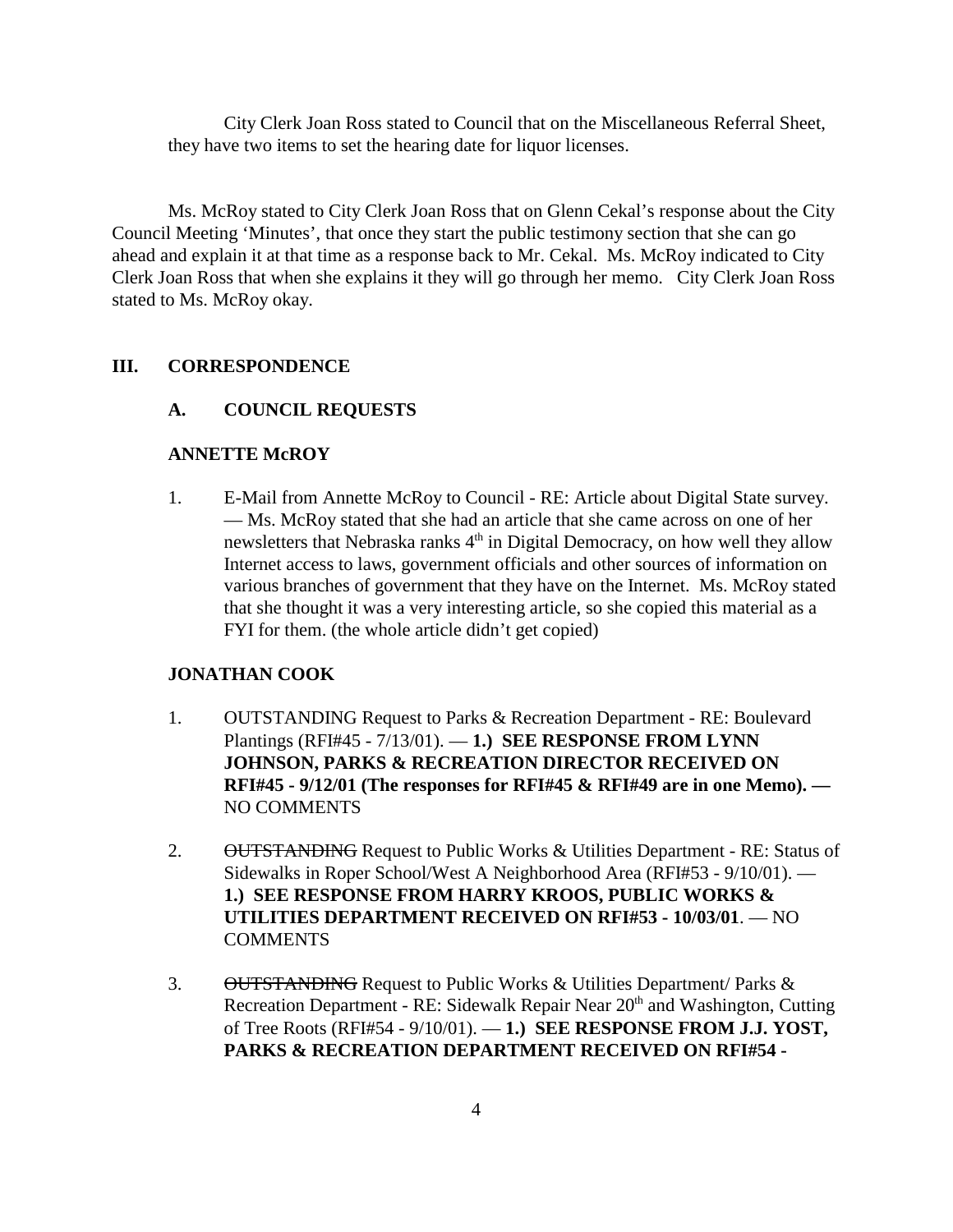City Clerk Joan Ross stated to Council that on the Miscellaneous Referral Sheet, they have two items to set the hearing date for liquor licenses.

Ms. McRoy stated to City Clerk Joan Ross that on Glenn Cekal's response about the City Council Meeting 'Minutes', that once they start the public testimony section that she can go ahead and explain it at that time as a response back to Mr. Cekal. Ms. McRoy indicated to City Clerk Joan Ross that when she explains it they will go through her memo. City Clerk Joan Ross stated to Ms. McRoy okay.

#### **III. CORRESPONDENCE**

### **A. COUNCIL REQUESTS**

#### **ANNETTE McROY**

1. E-Mail from Annette McRoy to Council - RE: Article about Digital State survey. — Ms. McRoy stated that she had an article that she came across on one of her newsletters that Nebraska ranks  $4<sup>th</sup>$  in Digital Democracy, on how well they allow Internet access to laws, government officials and other sources of information on various branches of government that they have on the Internet. Ms. McRoy stated that she thought it was a very interesting article, so she copied this material as a FYI for them. (the whole article didn't get copied)

#### **JONATHAN COOK**

- 1. OUTSTANDING Request to Parks & Recreation Department RE: Boulevard Plantings (RFI#45 - 7/13/01). — **1.) SEE RESPONSE FROM LYNN JOHNSON, PARKS & RECREATION DIRECTOR RECEIVED ON RFI#45 - 9/12/01 (The responses for RFI#45 & RFI#49 are in one Memo). —** NO COMMENTS
- 2. OUTSTANDING Request to Public Works & Utilities Department RE: Status of Sidewalks in Roper School/West A Neighborhood Area (RFI#53 - 9/10/01). — **1.) SEE RESPONSE FROM HARRY KROOS, PUBLIC WORKS & UTILITIES DEPARTMENT RECEIVED ON RFI#53 - 10/03/01**. — NO COMMENTS
- 3. OUTSTANDING Request to Public Works & Utilities Department/ Parks & Recreation Department - RE: Sidewalk Repair Near 20<sup>th</sup> and Washington, Cutting of Tree Roots (RFI#54 - 9/10/01). — **1.) SEE RESPONSE FROM J.J. YOST, PARKS & RECREATION DEPARTMENT RECEIVED ON RFI#54 -**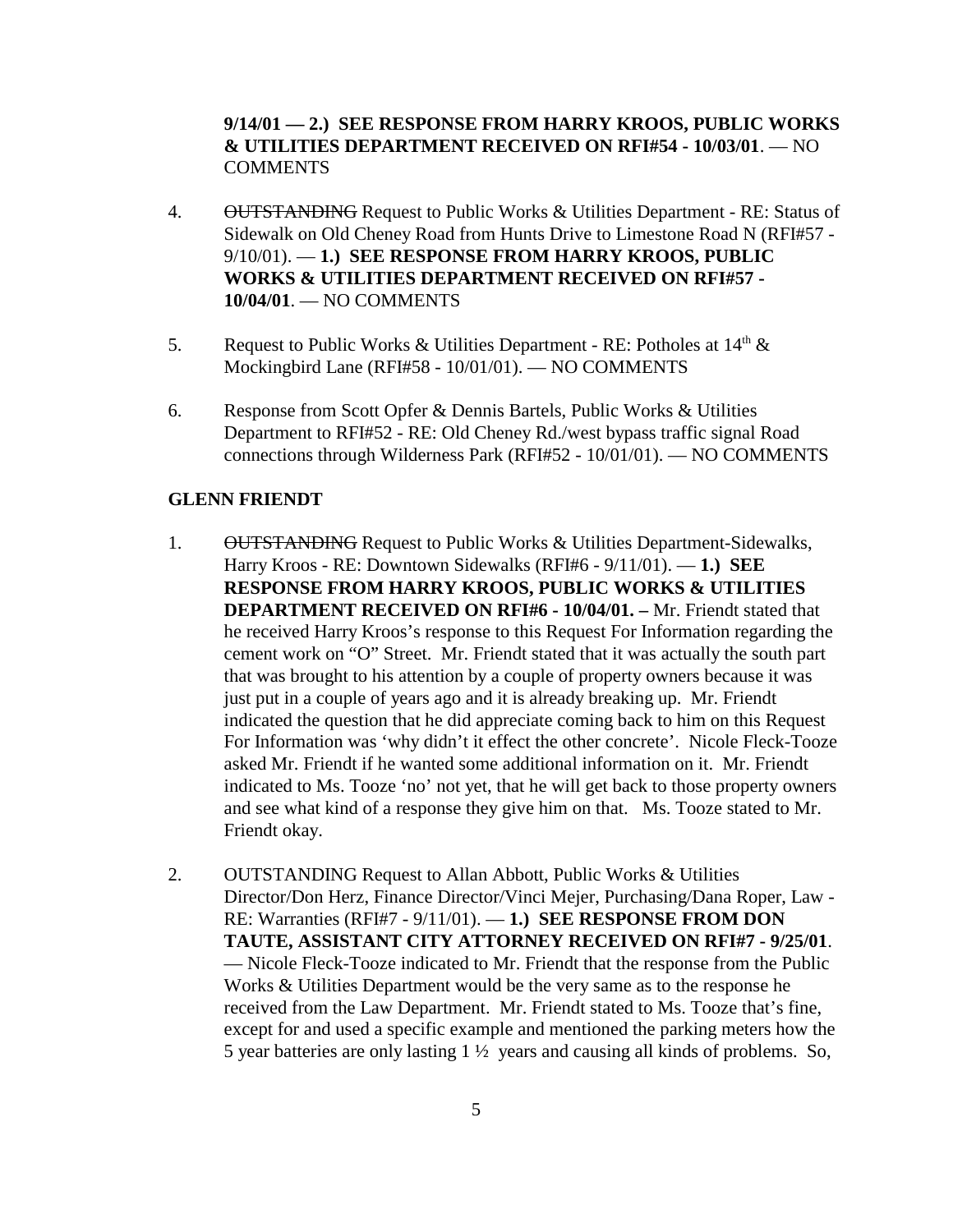### **9/14/01 — 2.) SEE RESPONSE FROM HARRY KROOS, PUBLIC WORKS & UTILITIES DEPARTMENT RECEIVED ON RFI#54 - 10/03/01**. — NO **COMMENTS**

- 4. OUTSTANDING Request to Public Works & Utilities Department RE: Status of Sidewalk on Old Cheney Road from Hunts Drive to Limestone Road N (RFI#57 - 9/10/01). — **1.) SEE RESPONSE FROM HARRY KROOS, PUBLIC WORKS & UTILITIES DEPARTMENT RECEIVED ON RFI#57 - 10/04/01**. — NO COMMENTS
- 5. Request to Public Works & Utilities Department RE: Potholes at  $14<sup>th</sup>$  & Mockingbird Lane (RFI#58 - 10/01/01). — NO COMMENTS
- 6. Response from Scott Opfer & Dennis Bartels, Public Works & Utilities Department to RFI#52 - RE: Old Cheney Rd./west bypass traffic signal Road connections through Wilderness Park (RFI#52 - 10/01/01). — NO COMMENTS

#### **GLENN FRIENDT**

- 1. OUTSTANDING Request to Public Works & Utilities Department-Sidewalks, Harry Kroos - RE: Downtown Sidewalks (RFI#6 - 9/11/01). — **1.) SEE RESPONSE FROM HARRY KROOS, PUBLIC WORKS & UTILITIES DEPARTMENT RECEIVED ON RFI#6 - 10/04/01. –** Mr. Friendt stated that he received Harry Kroos's response to this Request For Information regarding the cement work on "O" Street. Mr. Friendt stated that it was actually the south part that was brought to his attention by a couple of property owners because it was just put in a couple of years ago and it is already breaking up. Mr. Friendt indicated the question that he did appreciate coming back to him on this Request For Information was 'why didn't it effect the other concrete'. Nicole Fleck-Tooze asked Mr. Friendt if he wanted some additional information on it. Mr. Friendt indicated to Ms. Tooze 'no' not yet, that he will get back to those property owners and see what kind of a response they give him on that. Ms. Tooze stated to Mr. Friendt okay.
- 2. OUTSTANDING Request to Allan Abbott, Public Works & Utilities Director/Don Herz, Finance Director/Vinci Mejer, Purchasing/Dana Roper, Law - RE: Warranties (RFI#7 - 9/11/01). — **1.) SEE RESPONSE FROM DON TAUTE, ASSISTANT CITY ATTORNEY RECEIVED ON RFI#7 - 9/25/01**. — Nicole Fleck-Tooze indicated to Mr. Friendt that the response from the Public Works & Utilities Department would be the very same as to the response he received from the Law Department. Mr. Friendt stated to Ms. Tooze that's fine, except for and used a specific example and mentioned the parking meters how the 5 year batteries are only lasting 1 ½ years and causing all kinds of problems. So,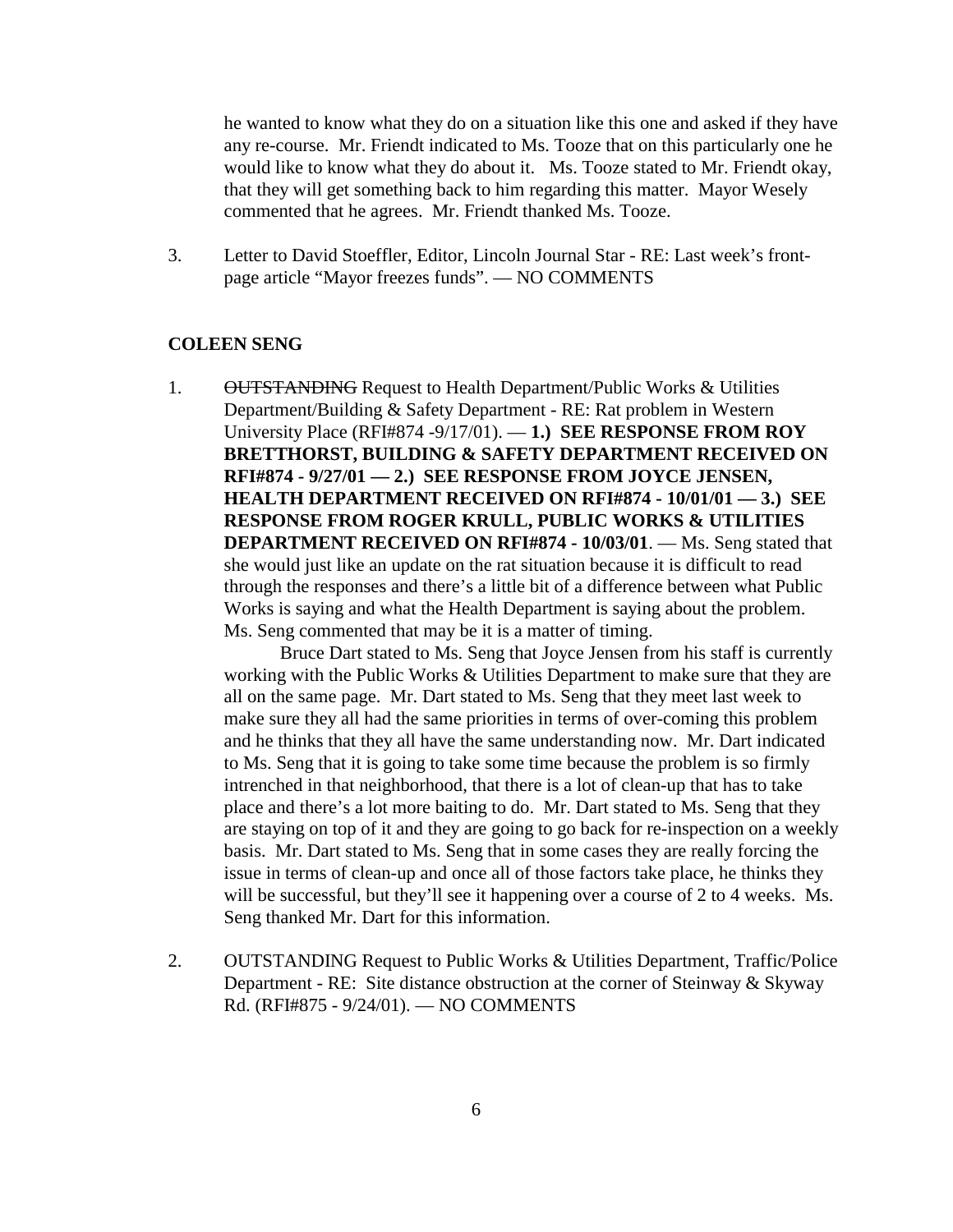he wanted to know what they do on a situation like this one and asked if they have any re-course. Mr. Friendt indicated to Ms. Tooze that on this particularly one he would like to know what they do about it. Ms. Tooze stated to Mr. Friendt okay, that they will get something back to him regarding this matter. Mayor Wesely commented that he agrees. Mr. Friendt thanked Ms. Tooze.

3. Letter to David Stoeffler, Editor, Lincoln Journal Star - RE: Last week's frontpage article "Mayor freezes funds". — NO COMMENTS

#### **COLEEN SENG**

1. OUTSTANDING Request to Health Department/Public Works & Utilities Department/Building & Safety Department - RE: Rat problem in Western University Place (RFI#874 -9/17/01). — **1.) SEE RESPONSE FROM ROY BRETTHORST, BUILDING & SAFETY DEPARTMENT RECEIVED ON RFI#874 - 9/27/01 — 2.) SEE RESPONSE FROM JOYCE JENSEN, HEALTH DEPARTMENT RECEIVED ON RFI#874 - 10/01/01 — 3.) SEE RESPONSE FROM ROGER KRULL, PUBLIC WORKS & UTILITIES DEPARTMENT RECEIVED ON RFI#874 - 10/03/01**. — Ms. Seng stated that she would just like an update on the rat situation because it is difficult to read through the responses and there's a little bit of a difference between what Public Works is saying and what the Health Department is saying about the problem. Ms. Seng commented that may be it is a matter of timing.

Bruce Dart stated to Ms. Seng that Joyce Jensen from his staff is currently working with the Public Works & Utilities Department to make sure that they are all on the same page. Mr. Dart stated to Ms. Seng that they meet last week to make sure they all had the same priorities in terms of over-coming this problem and he thinks that they all have the same understanding now. Mr. Dart indicated to Ms. Seng that it is going to take some time because the problem is so firmly intrenched in that neighborhood, that there is a lot of clean-up that has to take place and there's a lot more baiting to do. Mr. Dart stated to Ms. Seng that they are staying on top of it and they are going to go back for re-inspection on a weekly basis. Mr. Dart stated to Ms. Seng that in some cases they are really forcing the issue in terms of clean-up and once all of those factors take place, he thinks they will be successful, but they'll see it happening over a course of 2 to 4 weeks. Ms. Seng thanked Mr. Dart for this information.

2. OUTSTANDING Request to Public Works & Utilities Department, Traffic/Police Department - RE: Site distance obstruction at the corner of Steinway & Skyway Rd. (RFI#875 - 9/24/01). — NO COMMENTS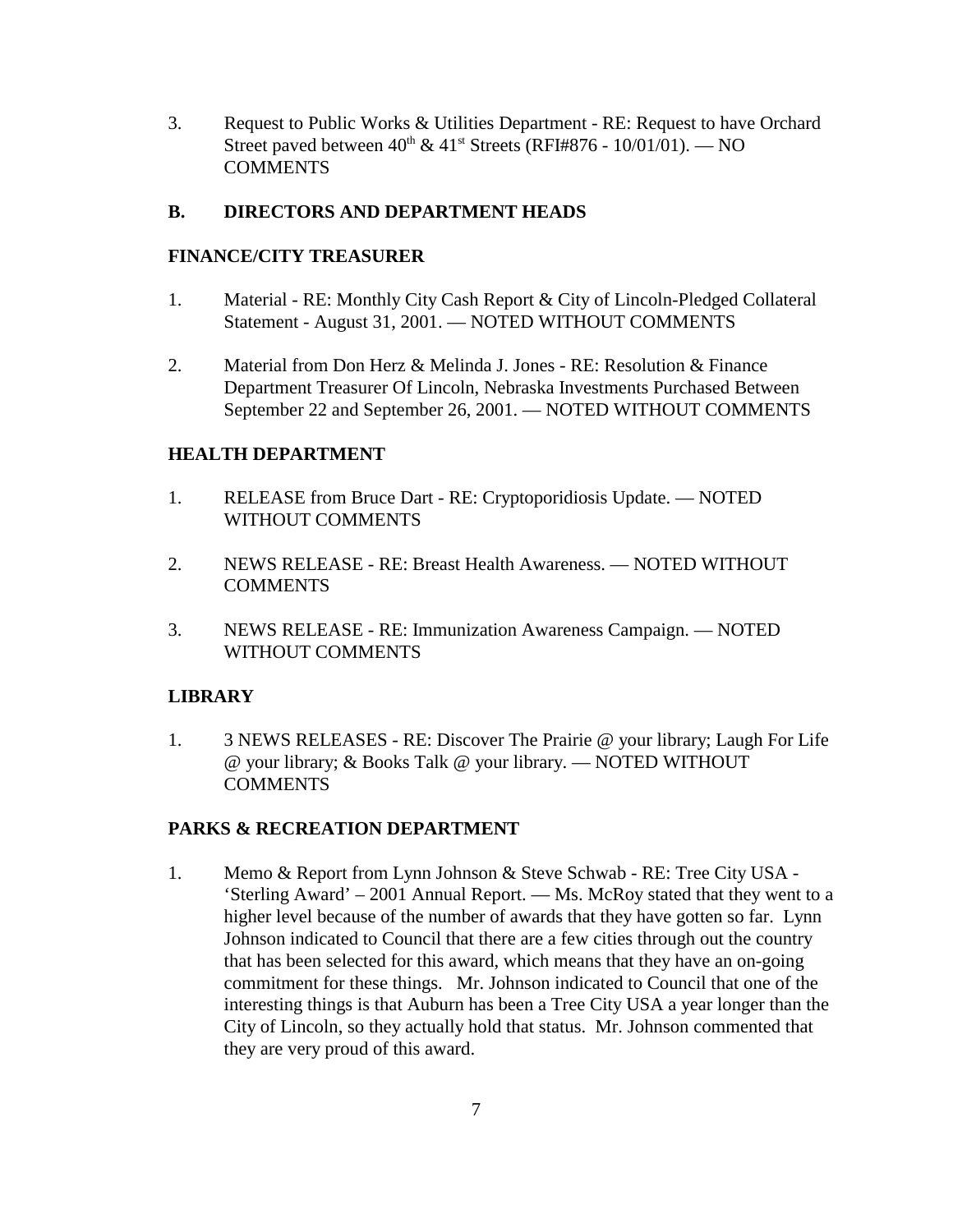3. Request to Public Works & Utilities Department - RE: Request to have Orchard Street paved between  $40^{th} \& 41^{st}$  Streets (RFI#876 - 10/01/01). — NO **COMMENTS** 

### **B. DIRECTORS AND DEPARTMENT HEADS**

### **FINANCE/CITY TREASURER**

- 1. Material RE: Monthly City Cash Report & City of Lincoln-Pledged Collateral Statement - August 31, 2001. — NOTED WITHOUT COMMENTS
- 2. Material from Don Herz & Melinda J. Jones RE: Resolution & Finance Department Treasurer Of Lincoln, Nebraska Investments Purchased Between September 22 and September 26, 2001. — NOTED WITHOUT COMMENTS

### **HEALTH DEPARTMENT**

- 1. RELEASE from Bruce Dart RE: Cryptoporidiosis Update. NOTED WITHOUT COMMENTS
- 2. NEWS RELEASE RE: Breast Health Awareness. NOTED WITHOUT **COMMENTS**
- 3. NEWS RELEASE RE: Immunization Awareness Campaign. NOTED WITHOUT COMMENTS

### **LIBRARY**

1. 3 NEWS RELEASES - RE: Discover The Prairie @ your library; Laugh For Life @ your library; & Books Talk @ your library. — NOTED WITHOUT **COMMENTS** 

### **PARKS & RECREATION DEPARTMENT**

1. Memo & Report from Lynn Johnson & Steve Schwab - RE: Tree City USA - 'Sterling Award' – 2001 Annual Report. — Ms. McRoy stated that they went to a higher level because of the number of awards that they have gotten so far. Lynn Johnson indicated to Council that there are a few cities through out the country that has been selected for this award, which means that they have an on-going commitment for these things. Mr. Johnson indicated to Council that one of the interesting things is that Auburn has been a Tree City USA a year longer than the City of Lincoln, so they actually hold that status. Mr. Johnson commented that they are very proud of this award.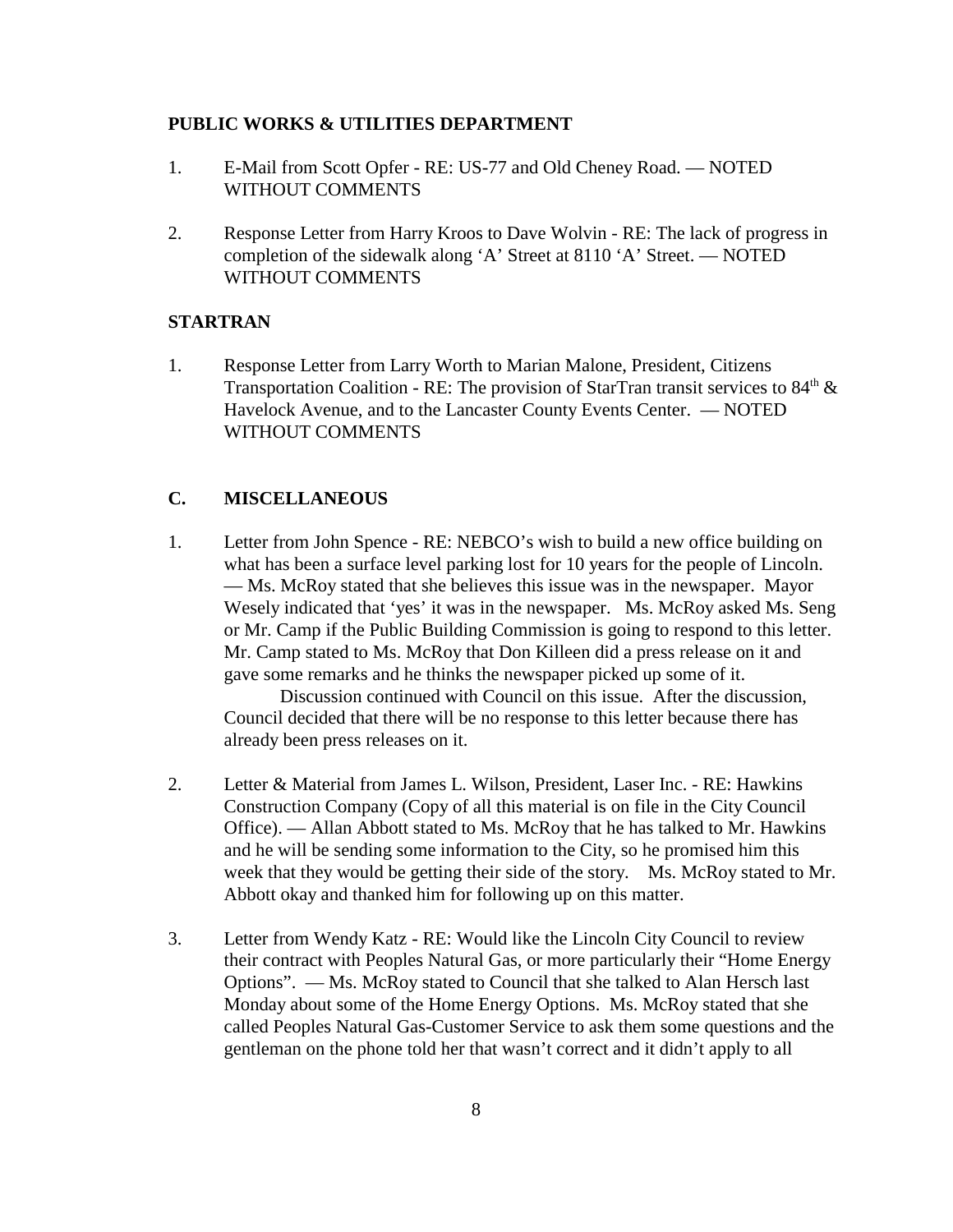#### **PUBLIC WORKS & UTILITIES DEPARTMENT**

- 1. E-Mail from Scott Opfer RE: US-77 and Old Cheney Road. NOTED WITHOUT COMMENTS
- 2. Response Letter from Harry Kroos to Dave Wolvin RE: The lack of progress in completion of the sidewalk along 'A' Street at 8110 'A' Street. — NOTED WITHOUT COMMENTS

#### **STARTRAN**

1. Response Letter from Larry Worth to Marian Malone, President, Citizens Transportation Coalition - RE: The provision of StarTran transit services to  $84<sup>th</sup>$  & Havelock Avenue, and to the Lancaster County Events Center. — NOTED WITHOUT COMMENTS

#### **C. MISCELLANEOUS**

1. Letter from John Spence - RE: NEBCO's wish to build a new office building on what has been a surface level parking lost for 10 years for the people of Lincoln. — Ms. McRoy stated that she believes this issue was in the newspaper. Mayor Wesely indicated that 'yes' it was in the newspaper. Ms. McRoy asked Ms. Seng or Mr. Camp if the Public Building Commission is going to respond to this letter. Mr. Camp stated to Ms. McRoy that Don Killeen did a press release on it and gave some remarks and he thinks the newspaper picked up some of it.

Discussion continued with Council on this issue. After the discussion, Council decided that there will be no response to this letter because there has already been press releases on it.

- 2. Letter & Material from James L. Wilson, President, Laser Inc. RE: Hawkins Construction Company (Copy of all this material is on file in the City Council Office). — Allan Abbott stated to Ms. McRoy that he has talked to Mr. Hawkins and he will be sending some information to the City, so he promised him this week that they would be getting their side of the story. Ms. McRoy stated to Mr. Abbott okay and thanked him for following up on this matter.
- 3. Letter from Wendy Katz RE: Would like the Lincoln City Council to review their contract with Peoples Natural Gas, or more particularly their "Home Energy Options". — Ms. McRoy stated to Council that she talked to Alan Hersch last Monday about some of the Home Energy Options. Ms. McRoy stated that she called Peoples Natural Gas-Customer Service to ask them some questions and the gentleman on the phone told her that wasn't correct and it didn't apply to all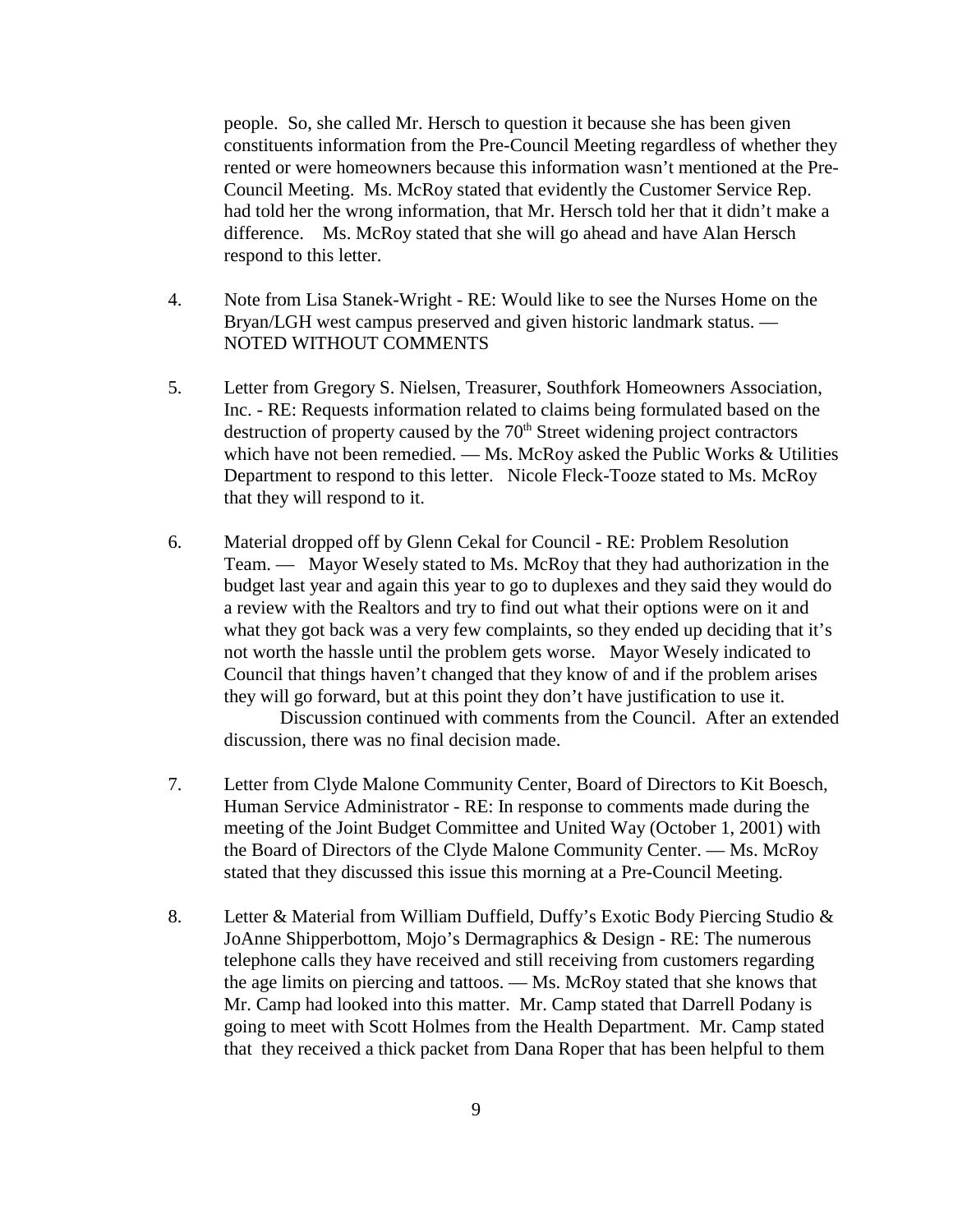people. So, she called Mr. Hersch to question it because she has been given constituents information from the Pre-Council Meeting regardless of whether they rented or were homeowners because this information wasn't mentioned at the Pre-Council Meeting. Ms. McRoy stated that evidently the Customer Service Rep. had told her the wrong information, that Mr. Hersch told her that it didn't make a difference. Ms. McRoy stated that she will go ahead and have Alan Hersch respond to this letter.

- 4. Note from Lisa Stanek-Wright RE: Would like to see the Nurses Home on the Bryan/LGH west campus preserved and given historic landmark status. — NOTED WITHOUT COMMENTS
- 5. Letter from Gregory S. Nielsen, Treasurer, Southfork Homeowners Association, Inc. - RE: Requests information related to claims being formulated based on the destruction of property caused by the  $70<sup>th</sup>$  Street widening project contractors which have not been remedied. — Ms. McRoy asked the Public Works & Utilities Department to respond to this letter. Nicole Fleck-Tooze stated to Ms. McRoy that they will respond to it.
- 6. Material dropped off by Glenn Cekal for Council RE: Problem Resolution Team. — Mayor Wesely stated to Ms. McRoy that they had authorization in the budget last year and again this year to go to duplexes and they said they would do a review with the Realtors and try to find out what their options were on it and what they got back was a very few complaints, so they ended up deciding that it's not worth the hassle until the problem gets worse. Mayor Wesely indicated to Council that things haven't changed that they know of and if the problem arises they will go forward, but at this point they don't have justification to use it.

Discussion continued with comments from the Council. After an extended discussion, there was no final decision made.

- 7. Letter from Clyde Malone Community Center, Board of Directors to Kit Boesch, Human Service Administrator - RE: In response to comments made during the meeting of the Joint Budget Committee and United Way (October 1, 2001) with the Board of Directors of the Clyde Malone Community Center. — Ms. McRoy stated that they discussed this issue this morning at a Pre-Council Meeting.
- 8. Letter & Material from William Duffield, Duffy's Exotic Body Piercing Studio & JoAnne Shipperbottom, Mojo's Dermagraphics & Design - RE: The numerous telephone calls they have received and still receiving from customers regarding the age limits on piercing and tattoos. — Ms. McRoy stated that she knows that Mr. Camp had looked into this matter. Mr. Camp stated that Darrell Podany is going to meet with Scott Holmes from the Health Department. Mr. Camp stated that they received a thick packet from Dana Roper that has been helpful to them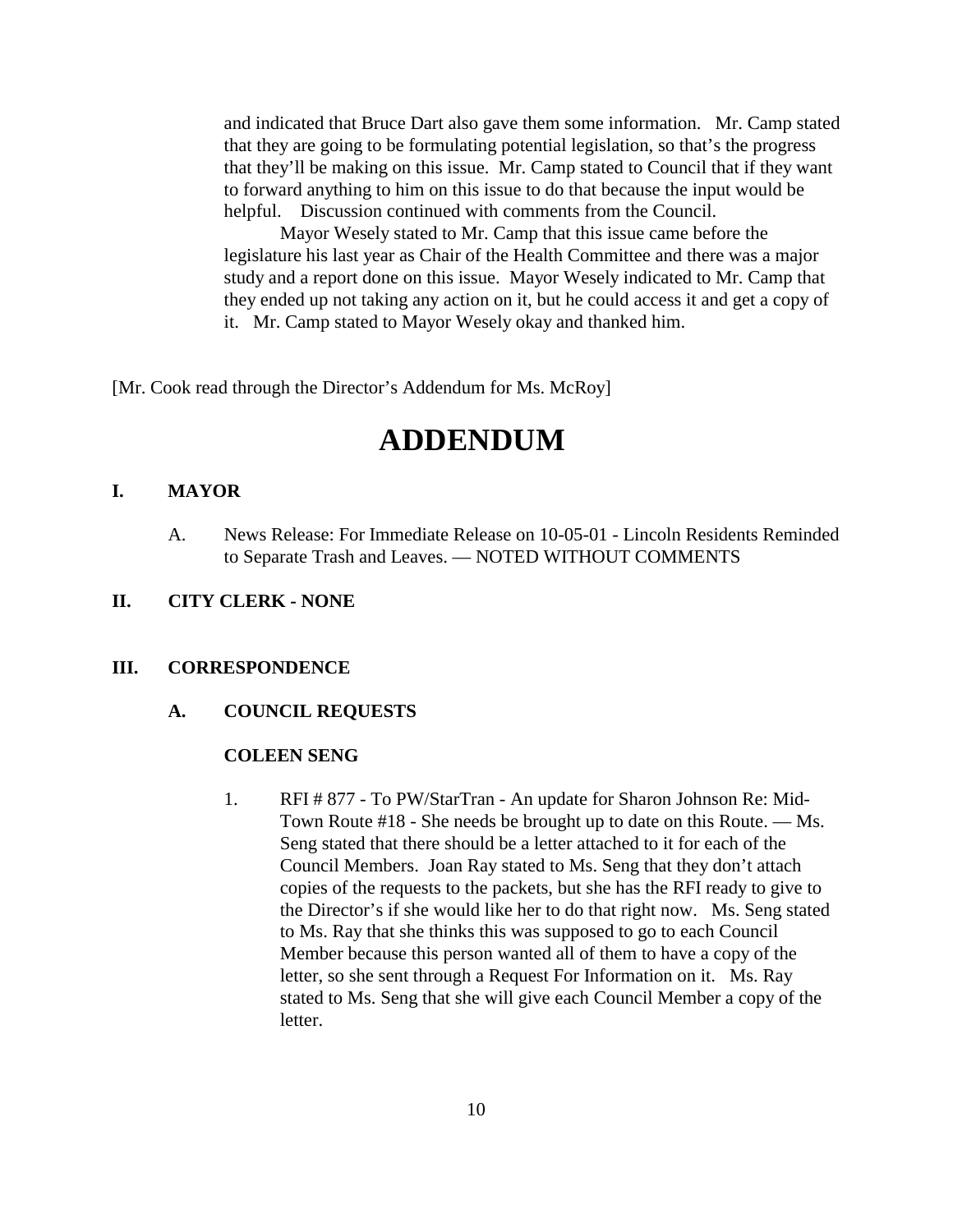and indicated that Bruce Dart also gave them some information. Mr. Camp stated that they are going to be formulating potential legislation, so that's the progress that they'll be making on this issue. Mr. Camp stated to Council that if they want to forward anything to him on this issue to do that because the input would be helpful. Discussion continued with comments from the Council.

Mayor Wesely stated to Mr. Camp that this issue came before the legislature his last year as Chair of the Health Committee and there was a major study and a report done on this issue. Mayor Wesely indicated to Mr. Camp that they ended up not taking any action on it, but he could access it and get a copy of it. Mr. Camp stated to Mayor Wesely okay and thanked him.

[Mr. Cook read through the Director's Addendum for Ms. McRoy]

# **ADDENDUM**

### **I. MAYOR**

A. News Release: For Immediate Release on 10-05-01 - Lincoln Residents Reminded to Separate Trash and Leaves. — NOTED WITHOUT COMMENTS

#### **II. CITY CLERK - NONE**

#### **III. CORRESPONDENCE**

**A. COUNCIL REQUESTS**

#### **COLEEN SENG**

1. RFI # 877 - To PW/StarTran - An update for Sharon Johnson Re: Mid-Town Route #18 - She needs be brought up to date on this Route. — Ms. Seng stated that there should be a letter attached to it for each of the Council Members. Joan Ray stated to Ms. Seng that they don't attach copies of the requests to the packets, but she has the RFI ready to give to the Director's if she would like her to do that right now. Ms. Seng stated to Ms. Ray that she thinks this was supposed to go to each Council Member because this person wanted all of them to have a copy of the letter, so she sent through a Request For Information on it. Ms. Ray stated to Ms. Seng that she will give each Council Member a copy of the letter.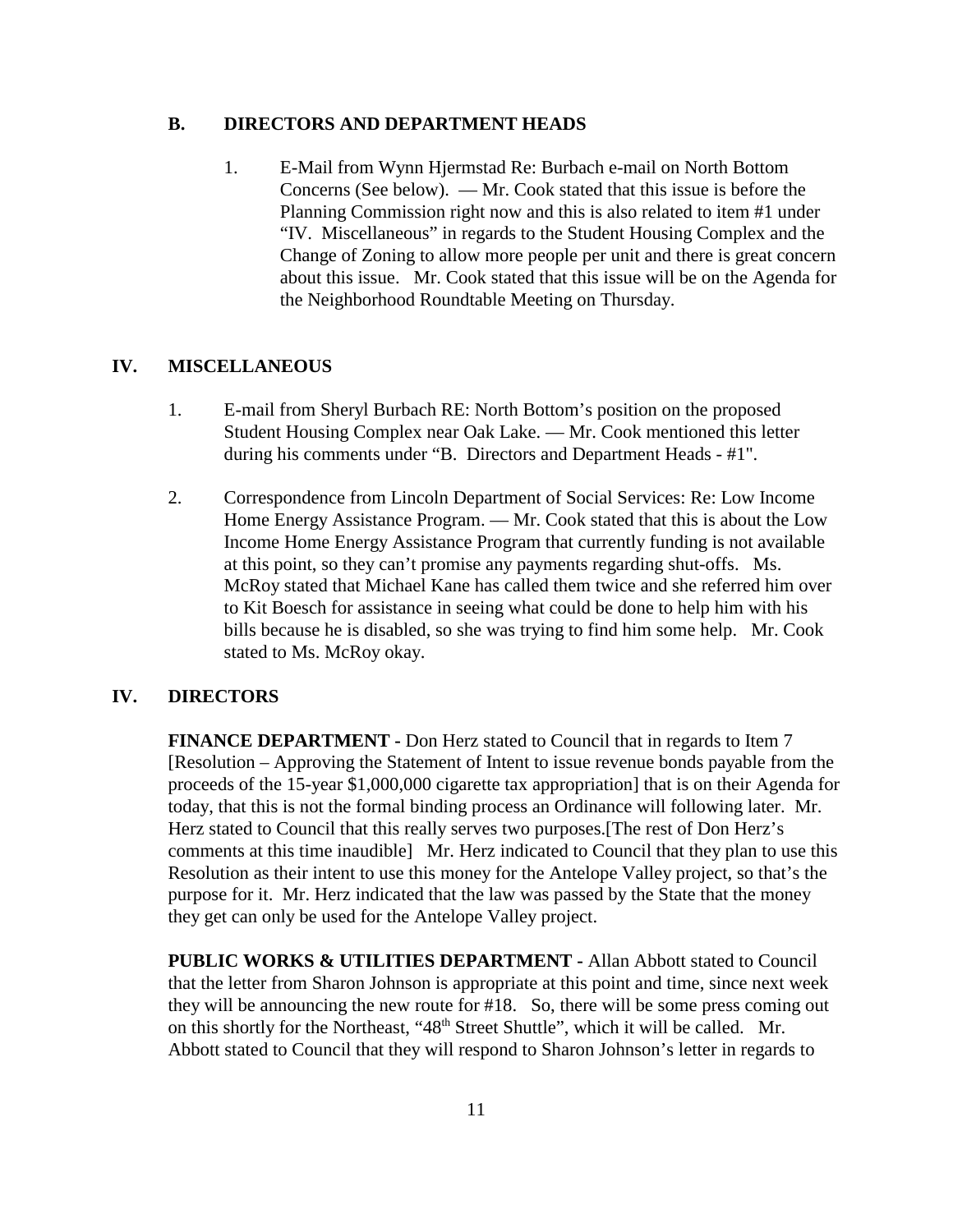#### **B. DIRECTORS AND DEPARTMENT HEADS**

1. E-Mail from Wynn Hjermstad Re: Burbach e-mail on North Bottom Concerns (See below). — Mr. Cook stated that this issue is before the Planning Commission right now and this is also related to item #1 under "IV. Miscellaneous" in regards to the Student Housing Complex and the Change of Zoning to allow more people per unit and there is great concern about this issue. Mr. Cook stated that this issue will be on the Agenda for the Neighborhood Roundtable Meeting on Thursday.

#### **IV. MISCELLANEOUS**

- 1. E-mail from Sheryl Burbach RE: North Bottom's position on the proposed Student Housing Complex near Oak Lake. — Mr. Cook mentioned this letter during his comments under "B. Directors and Department Heads - #1".
- 2. Correspondence from Lincoln Department of Social Services: Re: Low Income Home Energy Assistance Program. — Mr. Cook stated that this is about the Low Income Home Energy Assistance Program that currently funding is not available at this point, so they can't promise any payments regarding shut-offs. Ms. McRoy stated that Michael Kane has called them twice and she referred him over to Kit Boesch for assistance in seeing what could be done to help him with his bills because he is disabled, so she was trying to find him some help. Mr. Cook stated to Ms. McRoy okay.

#### **IV. DIRECTORS**

**FINANCE DEPARTMENT -** Don Herz stated to Council that in regards to Item 7 [Resolution – Approving the Statement of Intent to issue revenue bonds payable from the proceeds of the 15-year \$1,000,000 cigarette tax appropriation] that is on their Agenda for today, that this is not the formal binding process an Ordinance will following later. Mr. Herz stated to Council that this really serves two purposes.[The rest of Don Herz's comments at this time inaudible] Mr. Herz indicated to Council that they plan to use this Resolution as their intent to use this money for the Antelope Valley project, so that's the purpose for it. Mr. Herz indicated that the law was passed by the State that the money they get can only be used for the Antelope Valley project.

**PUBLIC WORKS & UTILITIES DEPARTMENT -** Allan Abbott stated to Council that the letter from Sharon Johnson is appropriate at this point and time, since next week they will be announcing the new route for #18. So, there will be some press coming out on this shortly for the Northeast, "48<sup>th</sup> Street Shuttle", which it will be called. Mr. Abbott stated to Council that they will respond to Sharon Johnson's letter in regards to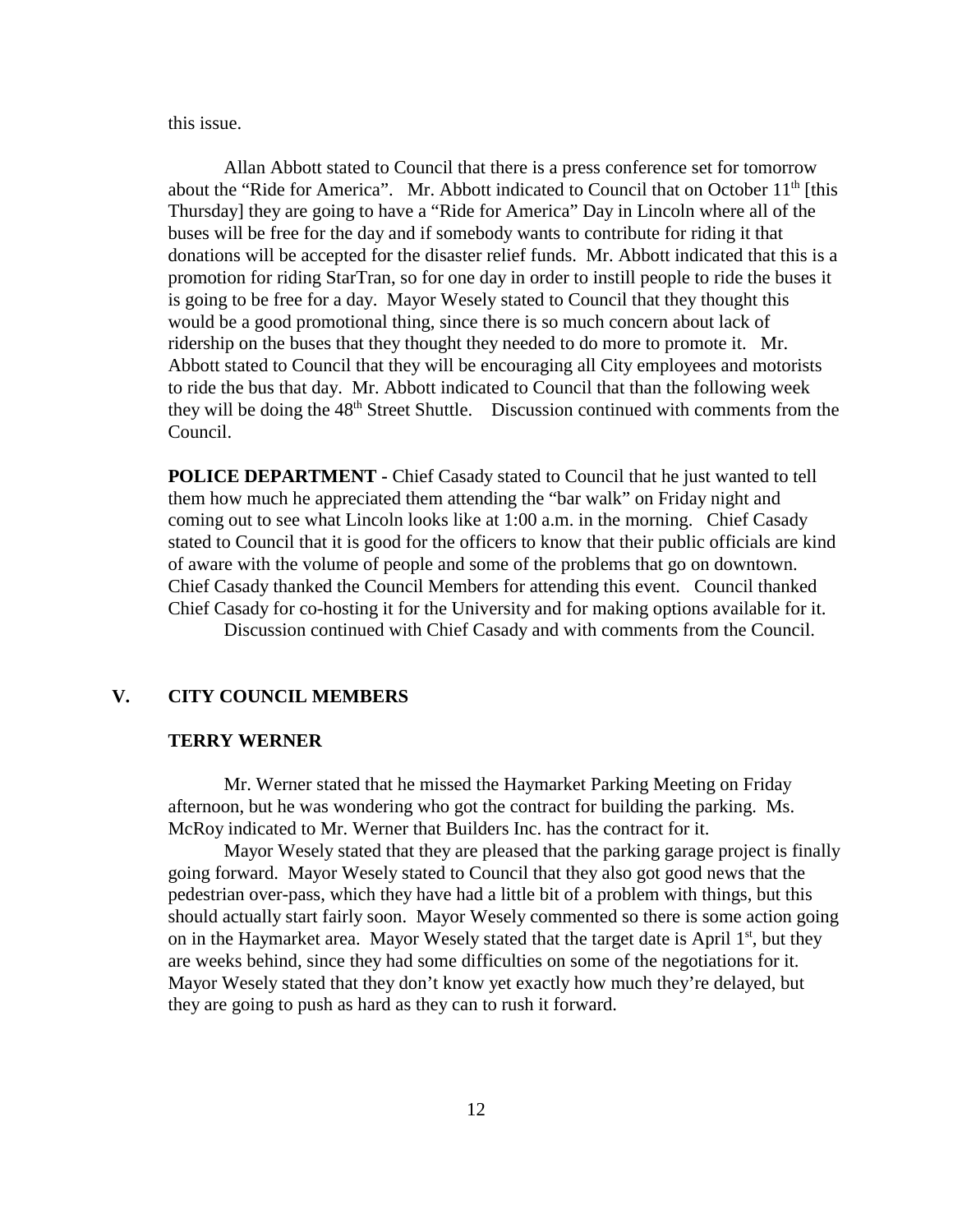this issue.

Allan Abbott stated to Council that there is a press conference set for tomorrow about the "Ride for America". Mr. Abbott indicated to Council that on October 11<sup>th</sup> [this Thursday] they are going to have a "Ride for America" Day in Lincoln where all of the buses will be free for the day and if somebody wants to contribute for riding it that donations will be accepted for the disaster relief funds. Mr. Abbott indicated that this is a promotion for riding StarTran, so for one day in order to instill people to ride the buses it is going to be free for a day. Mayor Wesely stated to Council that they thought this would be a good promotional thing, since there is so much concern about lack of ridership on the buses that they thought they needed to do more to promote it. Mr. Abbott stated to Council that they will be encouraging all City employees and motorists to ride the bus that day. Mr. Abbott indicated to Council that than the following week they will be doing the  $48<sup>th</sup>$  Street Shuttle. Discussion continued with comments from the Council.

**POLICE DEPARTMENT - Chief Casady stated to Council that he just wanted to tell** them how much he appreciated them attending the "bar walk" on Friday night and coming out to see what Lincoln looks like at 1:00 a.m. in the morning. Chief Casady stated to Council that it is good for the officers to know that their public officials are kind of aware with the volume of people and some of the problems that go on downtown. Chief Casady thanked the Council Members for attending this event. Council thanked Chief Casady for co-hosting it for the University and for making options available for it. Discussion continued with Chief Casady and with comments from the Council.

#### **V. CITY COUNCIL MEMBERS**

#### **TERRY WERNER**

Mr. Werner stated that he missed the Haymarket Parking Meeting on Friday afternoon, but he was wondering who got the contract for building the parking. Ms. McRoy indicated to Mr. Werner that Builders Inc. has the contract for it.

Mayor Wesely stated that they are pleased that the parking garage project is finally going forward. Mayor Wesely stated to Council that they also got good news that the pedestrian over-pass, which they have had a little bit of a problem with things, but this should actually start fairly soon. Mayor Wesely commented so there is some action going on in the Haymarket area. Mayor Wesely stated that the target date is April  $1<sup>st</sup>$ , but they are weeks behind, since they had some difficulties on some of the negotiations for it. Mayor Wesely stated that they don't know yet exactly how much they're delayed, but they are going to push as hard as they can to rush it forward.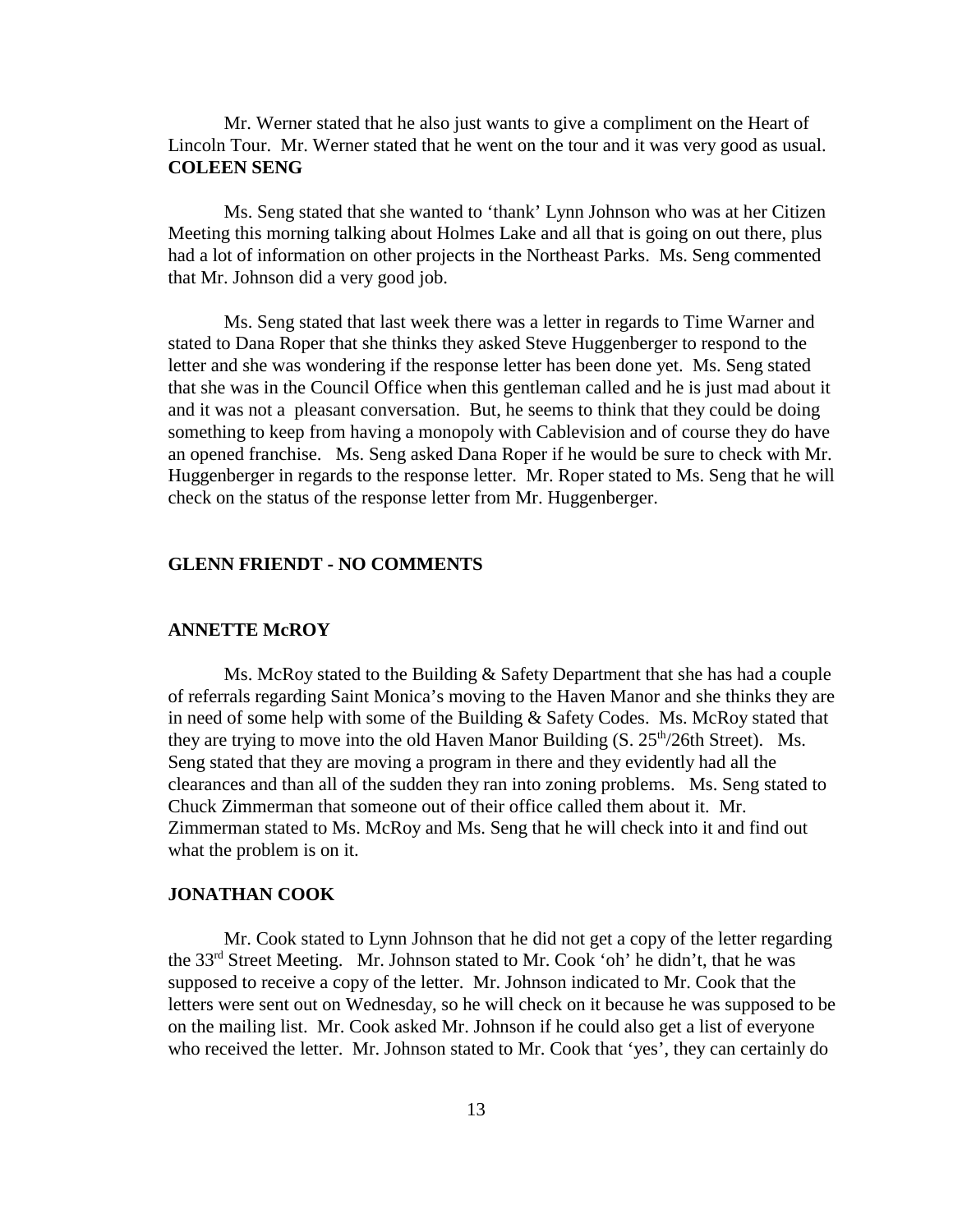Mr. Werner stated that he also just wants to give a compliment on the Heart of Lincoln Tour. Mr. Werner stated that he went on the tour and it was very good as usual. **COLEEN SENG** 

Ms. Seng stated that she wanted to 'thank' Lynn Johnson who was at her Citizen Meeting this morning talking about Holmes Lake and all that is going on out there, plus had a lot of information on other projects in the Northeast Parks. Ms. Seng commented that Mr. Johnson did a very good job.

Ms. Seng stated that last week there was a letter in regards to Time Warner and stated to Dana Roper that she thinks they asked Steve Huggenberger to respond to the letter and she was wondering if the response letter has been done yet. Ms. Seng stated that she was in the Council Office when this gentleman called and he is just mad about it and it was not a pleasant conversation. But, he seems to think that they could be doing something to keep from having a monopoly with Cablevision and of course they do have an opened franchise. Ms. Seng asked Dana Roper if he would be sure to check with Mr. Huggenberger in regards to the response letter. Mr. Roper stated to Ms. Seng that he will check on the status of the response letter from Mr. Huggenberger.

### **GLENN FRIENDT - NO COMMENTS**

#### **ANNETTE McROY**

Ms. McRoy stated to the Building & Safety Department that she has had a couple of referrals regarding Saint Monica's moving to the Haven Manor and she thinks they are in need of some help with some of the Building & Safety Codes. Ms. McRoy stated that they are trying to move into the old Haven Manor Building  $(S. 25<sup>th</sup>/26th Street)$ . Ms. Seng stated that they are moving a program in there and they evidently had all the clearances and than all of the sudden they ran into zoning problems. Ms. Seng stated to Chuck Zimmerman that someone out of their office called them about it. Mr. Zimmerman stated to Ms. McRoy and Ms. Seng that he will check into it and find out what the problem is on it.

#### **JONATHAN COOK**

Mr. Cook stated to Lynn Johnson that he did not get a copy of the letter regarding the 33rd Street Meeting. Mr. Johnson stated to Mr. Cook 'oh' he didn't, that he was supposed to receive a copy of the letter. Mr. Johnson indicated to Mr. Cook that the letters were sent out on Wednesday, so he will check on it because he was supposed to be on the mailing list. Mr. Cook asked Mr. Johnson if he could also get a list of everyone who received the letter. Mr. Johnson stated to Mr. Cook that 'yes', they can certainly do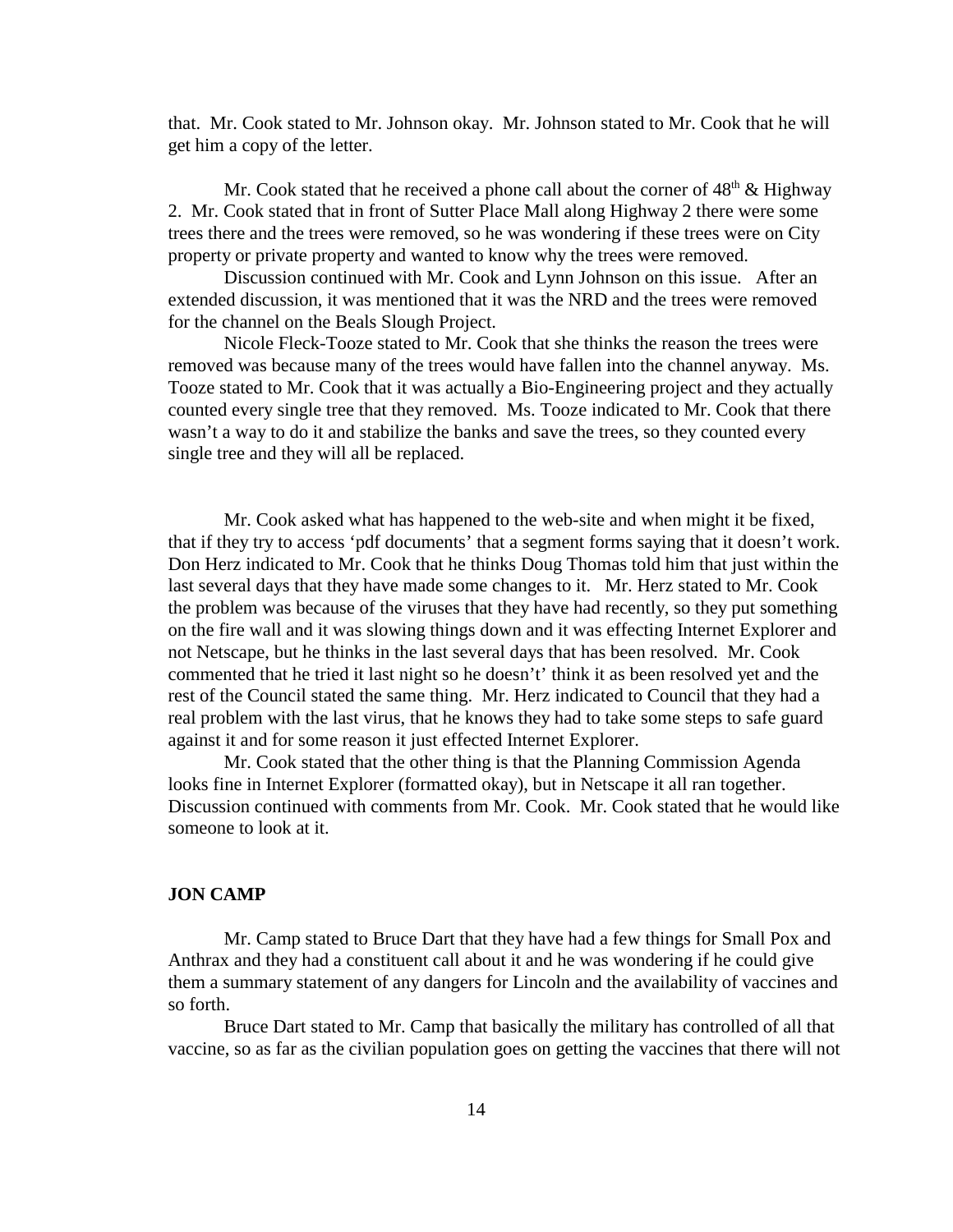that. Mr. Cook stated to Mr. Johnson okay. Mr. Johnson stated to Mr. Cook that he will get him a copy of the letter.

Mr. Cook stated that he received a phone call about the corner of  $48<sup>th</sup> \& Highway$ 2. Mr. Cook stated that in front of Sutter Place Mall along Highway 2 there were some trees there and the trees were removed, so he was wondering if these trees were on City property or private property and wanted to know why the trees were removed.

Discussion continued with Mr. Cook and Lynn Johnson on this issue. After an extended discussion, it was mentioned that it was the NRD and the trees were removed for the channel on the Beals Slough Project.

Nicole Fleck-Tooze stated to Mr. Cook that she thinks the reason the trees were removed was because many of the trees would have fallen into the channel anyway. Ms. Tooze stated to Mr. Cook that it was actually a Bio-Engineering project and they actually counted every single tree that they removed. Ms. Tooze indicated to Mr. Cook that there wasn't a way to do it and stabilize the banks and save the trees, so they counted every single tree and they will all be replaced.

Mr. Cook asked what has happened to the web-site and when might it be fixed, that if they try to access 'pdf documents' that a segment forms saying that it doesn't work. Don Herz indicated to Mr. Cook that he thinks Doug Thomas told him that just within the last several days that they have made some changes to it. Mr. Herz stated to Mr. Cook the problem was because of the viruses that they have had recently, so they put something on the fire wall and it was slowing things down and it was effecting Internet Explorer and not Netscape, but he thinks in the last several days that has been resolved. Mr. Cook commented that he tried it last night so he doesn't' think it as been resolved yet and the rest of the Council stated the same thing. Mr. Herz indicated to Council that they had a real problem with the last virus, that he knows they had to take some steps to safe guard against it and for some reason it just effected Internet Explorer.

Mr. Cook stated that the other thing is that the Planning Commission Agenda looks fine in Internet Explorer (formatted okay), but in Netscape it all ran together. Discussion continued with comments from Mr. Cook. Mr. Cook stated that he would like someone to look at it.

#### **JON CAMP**

Mr. Camp stated to Bruce Dart that they have had a few things for Small Pox and Anthrax and they had a constituent call about it and he was wondering if he could give them a summary statement of any dangers for Lincoln and the availability of vaccines and so forth.

Bruce Dart stated to Mr. Camp that basically the military has controlled of all that vaccine, so as far as the civilian population goes on getting the vaccines that there will not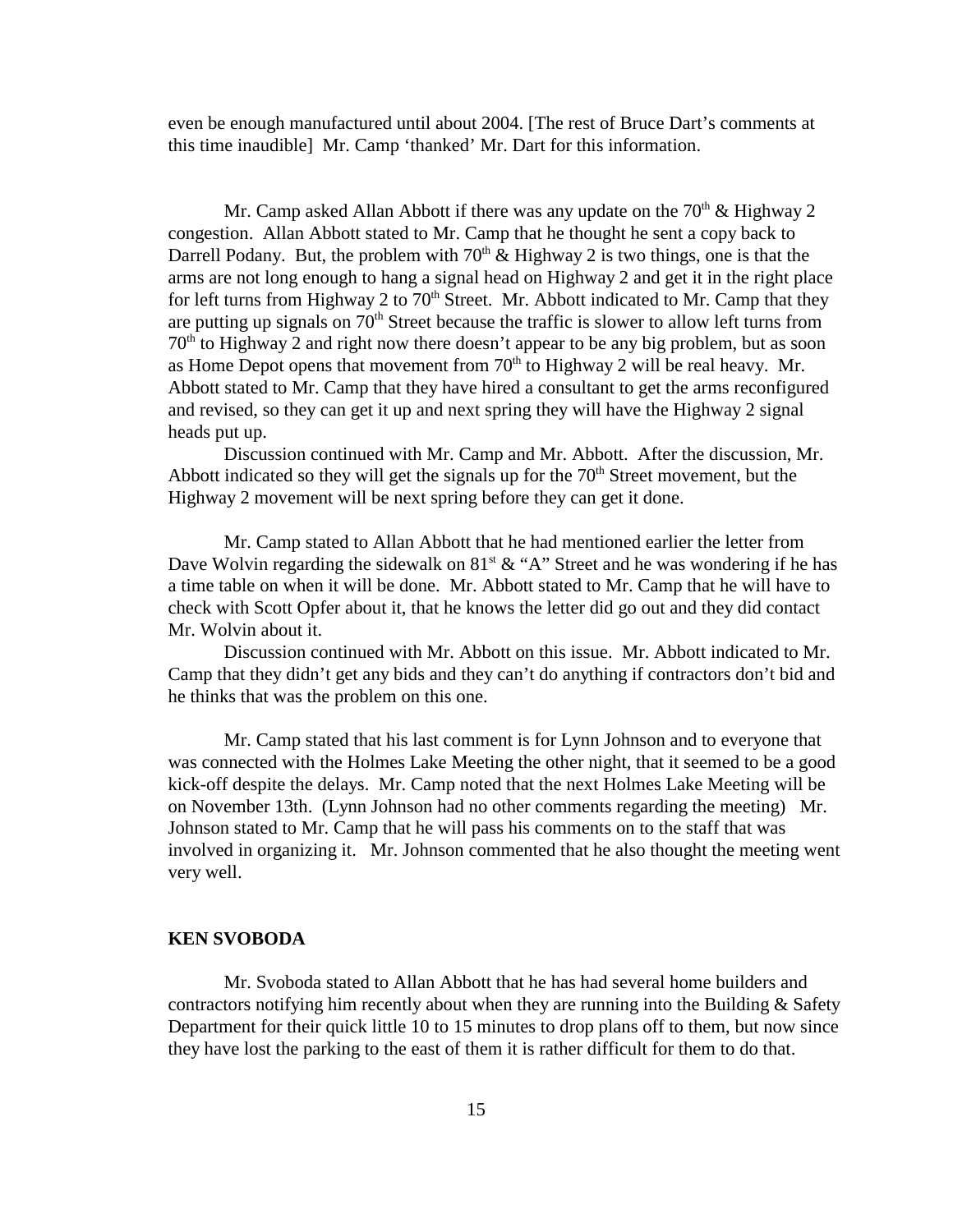even be enough manufactured until about 2004. [The rest of Bruce Dart's comments at this time inaudible] Mr. Camp 'thanked' Mr. Dart for this information.

Mr. Camp asked Allan Abbott if there was any update on the  $70<sup>th</sup>$  & Highway 2 congestion. Allan Abbott stated to Mr. Camp that he thought he sent a copy back to Darrell Podany. But, the problem with  $70<sup>th</sup>$  & Highway 2 is two things, one is that the arms are not long enough to hang a signal head on Highway 2 and get it in the right place for left turns from Highway 2 to  $70<sup>th</sup>$  Street. Mr. Abbott indicated to Mr. Camp that they are putting up signals on  $70<sup>th</sup>$  Street because the traffic is slower to allow left turns from  $70<sup>th</sup>$  to Highway 2 and right now there doesn't appear to be any big problem, but as soon as Home Depot opens that movement from  $70<sup>th</sup>$  to Highway 2 will be real heavy. Mr. Abbott stated to Mr. Camp that they have hired a consultant to get the arms reconfigured and revised, so they can get it up and next spring they will have the Highway 2 signal heads put up.

Discussion continued with Mr. Camp and Mr. Abbott. After the discussion, Mr. Abbott indicated so they will get the signals up for the  $70<sup>th</sup>$  Street movement, but the Highway 2 movement will be next spring before they can get it done.

Mr. Camp stated to Allan Abbott that he had mentioned earlier the letter from Dave Wolvin regarding the sidewalk on  $81<sup>st</sup> \& ^\circ A$ " Street and he was wondering if he has a time table on when it will be done. Mr. Abbott stated to Mr. Camp that he will have to check with Scott Opfer about it, that he knows the letter did go out and they did contact Mr. Wolvin about it.

Discussion continued with Mr. Abbott on this issue. Mr. Abbott indicated to Mr. Camp that they didn't get any bids and they can't do anything if contractors don't bid and he thinks that was the problem on this one.

Mr. Camp stated that his last comment is for Lynn Johnson and to everyone that was connected with the Holmes Lake Meeting the other night, that it seemed to be a good kick-off despite the delays. Mr. Camp noted that the next Holmes Lake Meeting will be on November 13th. (Lynn Johnson had no other comments regarding the meeting) Mr. Johnson stated to Mr. Camp that he will pass his comments on to the staff that was involved in organizing it. Mr. Johnson commented that he also thought the meeting went very well.

#### **KEN SVOBODA**

Mr. Svoboda stated to Allan Abbott that he has had several home builders and contractors notifying him recently about when they are running into the Building & Safety Department for their quick little 10 to 15 minutes to drop plans off to them, but now since they have lost the parking to the east of them it is rather difficult for them to do that.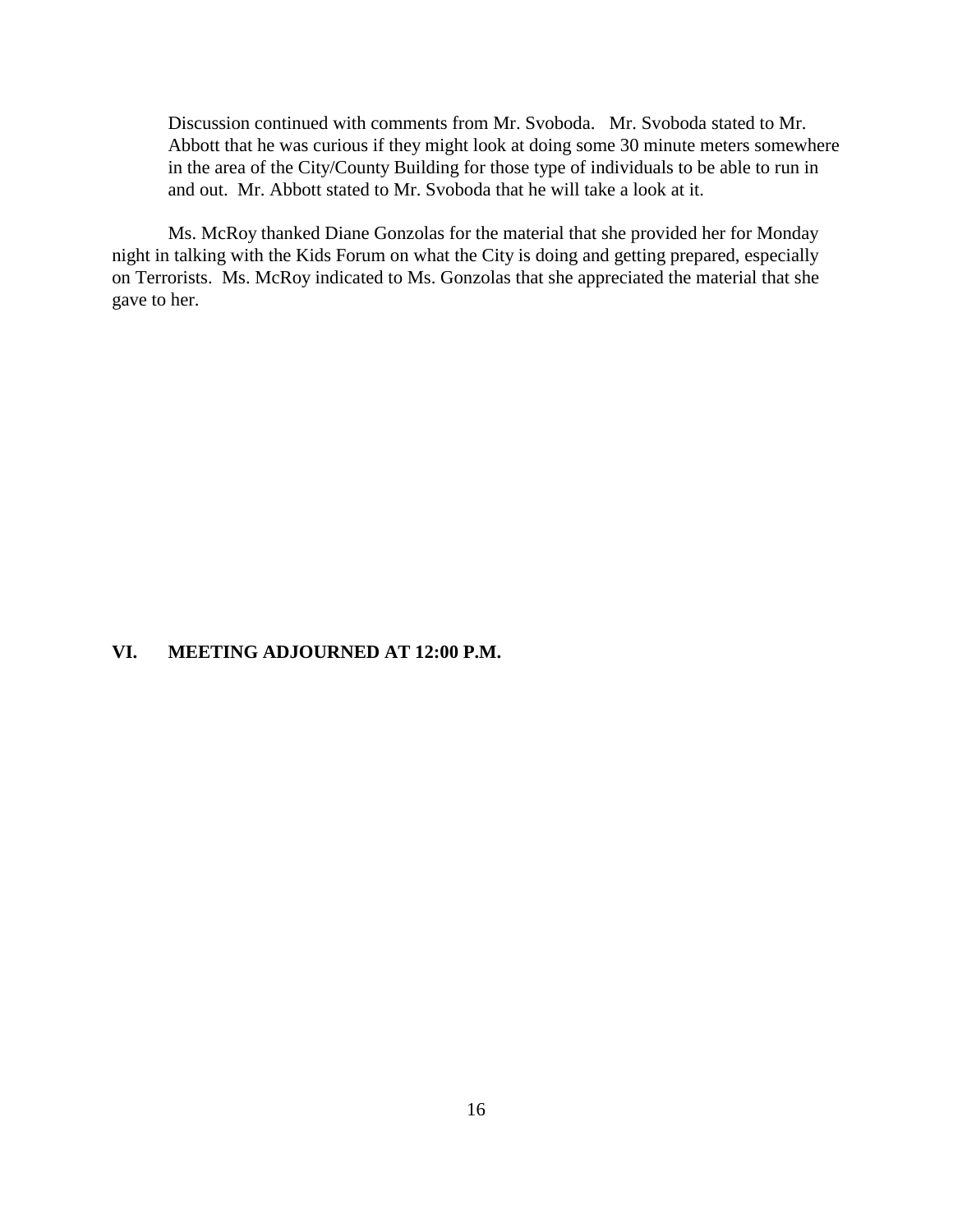Discussion continued with comments from Mr. Svoboda. Mr. Svoboda stated to Mr. Abbott that he was curious if they might look at doing some 30 minute meters somewhere in the area of the City/County Building for those type of individuals to be able to run in and out. Mr. Abbott stated to Mr. Svoboda that he will take a look at it.

Ms. McRoy thanked Diane Gonzolas for the material that she provided her for Monday night in talking with the Kids Forum on what the City is doing and getting prepared, especially on Terrorists. Ms. McRoy indicated to Ms. Gonzolas that she appreciated the material that she gave to her.

### **VI. MEETING ADJOURNED AT 12:00 P.M.**